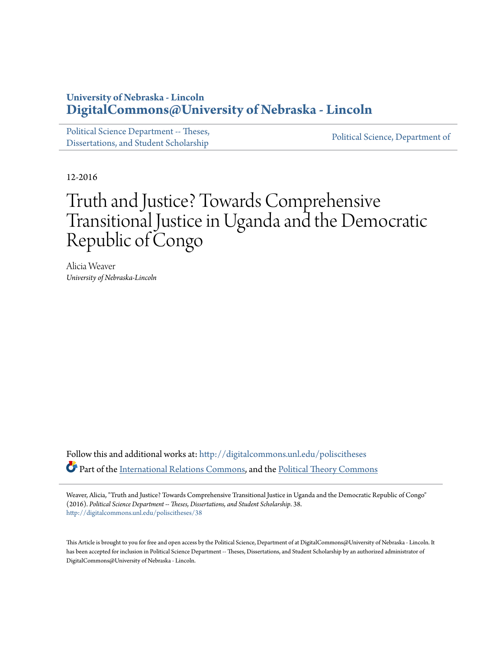## **University of Nebraska - Lincoln [DigitalCommons@University of Nebraska - Lincoln](http://digitalcommons.unl.edu?utm_source=digitalcommons.unl.edu%2Fpoliscitheses%2F38&utm_medium=PDF&utm_campaign=PDFCoverPages)**

[Political Science Department -- Theses,](http://digitalcommons.unl.edu/poliscitheses?utm_source=digitalcommons.unl.edu%2Fpoliscitheses%2F38&utm_medium=PDF&utm_campaign=PDFCoverPages) Political Science, Department of<br>[Dissertations, and Student Scholarship](http://digitalcommons.unl.edu/poliscitheses?utm_source=digitalcommons.unl.edu%2Fpoliscitheses%2F38&utm_medium=PDF&utm_campaign=PDFCoverPages) [Political Science, Department of](http://digitalcommons.unl.edu/politicalscience?utm_source=digitalcommons.unl.edu%2Fpoliscitheses%2F38&utm_medium=PDF&utm_campaign=PDFCoverPages)

12-2016

# Truth and Justice? Towards Comprehensive Transitional Justice in Uganda and the Democratic Republic of Congo

Alicia Weaver *University of Nebraska-Lincoln*

Follow this and additional works at: [http://digitalcommons.unl.edu/poliscitheses](http://digitalcommons.unl.edu/poliscitheses?utm_source=digitalcommons.unl.edu%2Fpoliscitheses%2F38&utm_medium=PDF&utm_campaign=PDFCoverPages) Part of the [International Relations Commons,](http://network.bepress.com/hgg/discipline/389?utm_source=digitalcommons.unl.edu%2Fpoliscitheses%2F38&utm_medium=PDF&utm_campaign=PDFCoverPages) and the [Political Theory Commons](http://network.bepress.com/hgg/discipline/391?utm_source=digitalcommons.unl.edu%2Fpoliscitheses%2F38&utm_medium=PDF&utm_campaign=PDFCoverPages)

Weaver, Alicia, "Truth and Justice? Towards Comprehensive Transitional Justice in Uganda and the Democratic Republic of Congo" (2016). *Political Science Department -- Theses, Dissertations, and Student Scholarship*. 38. [http://digitalcommons.unl.edu/poliscitheses/38](http://digitalcommons.unl.edu/poliscitheses/38?utm_source=digitalcommons.unl.edu%2Fpoliscitheses%2F38&utm_medium=PDF&utm_campaign=PDFCoverPages)

This Article is brought to you for free and open access by the Political Science, Department of at DigitalCommons@University of Nebraska - Lincoln. It has been accepted for inclusion in Political Science Department -- Theses, Dissertations, and Student Scholarship by an authorized administrator of DigitalCommons@University of Nebraska - Lincoln.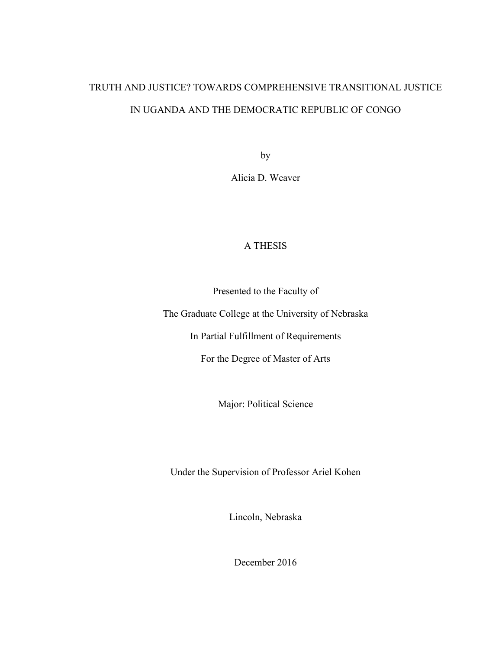# TRUTH AND JUSTICE? TOWARDS COMPREHENSIVE TRANSITIONAL JUSTICE IN UGANDA AND THE DEMOCRATIC REPUBLIC OF CONGO

by

Alicia D. Weaver

### A THESIS

Presented to the Faculty of

The Graduate College at the University of Nebraska

In Partial Fulfillment of Requirements

For the Degree of Master of Arts

Major: Political Science

Under the Supervision of Professor Ariel Kohen

Lincoln, Nebraska

December 2016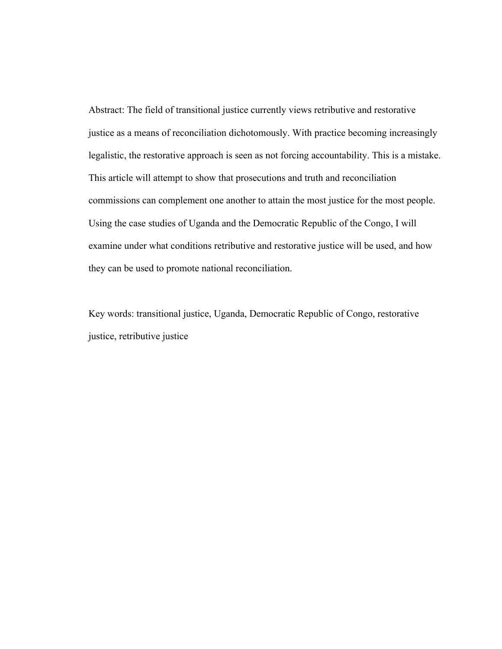Abstract: The field of transitional justice currently views retributive and restorative justice as a means of reconciliation dichotomously. With practice becoming increasingly legalistic, the restorative approach is seen as not forcing accountability. This is a mistake. This article will attempt to show that prosecutions and truth and reconciliation commissions can complement one another to attain the most justice for the most people. Using the case studies of Uganda and the Democratic Republic of the Congo, I will examine under what conditions retributive and restorative justice will be used, and how they can be used to promote national reconciliation.

Key words: transitional justice, Uganda, Democratic Republic of Congo, restorative justice, retributive justice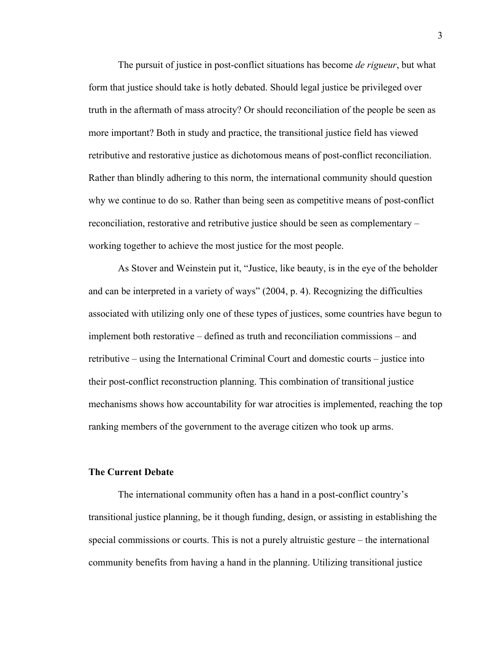The pursuit of justice in post-conflict situations has become *de rigueur*, but what form that justice should take is hotly debated. Should legal justice be privileged over truth in the aftermath of mass atrocity? Or should reconciliation of the people be seen as more important? Both in study and practice, the transitional justice field has viewed retributive and restorative justice as dichotomous means of post-conflict reconciliation. Rather than blindly adhering to this norm, the international community should question why we continue to do so. Rather than being seen as competitive means of post-conflict reconciliation, restorative and retributive justice should be seen as complementary – working together to achieve the most justice for the most people.

As Stover and Weinstein put it, "Justice, like beauty, is in the eye of the beholder and can be interpreted in a variety of ways" (2004, p. 4). Recognizing the difficulties associated with utilizing only one of these types of justices, some countries have begun to implement both restorative – defined as truth and reconciliation commissions – and retributive – using the International Criminal Court and domestic courts – justice into their post-conflict reconstruction planning. This combination of transitional justice mechanisms shows how accountability for war atrocities is implemented, reaching the top ranking members of the government to the average citizen who took up arms.

#### **The Current Debate**

The international community often has a hand in a post-conflict country's transitional justice planning, be it though funding, design, or assisting in establishing the special commissions or courts. This is not a purely altruistic gesture – the international community benefits from having a hand in the planning. Utilizing transitional justice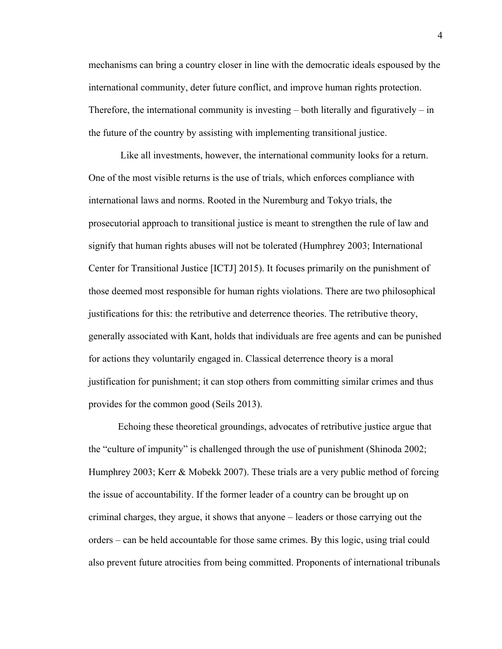mechanisms can bring a country closer in line with the democratic ideals espoused by the international community, deter future conflict, and improve human rights protection. Therefore, the international community is investing  $-$  both literally and figuratively  $-$  in the future of the country by assisting with implementing transitional justice.

 Like all investments, however, the international community looks for a return. One of the most visible returns is the use of trials, which enforces compliance with international laws and norms. Rooted in the Nuremburg and Tokyo trials, the prosecutorial approach to transitional justice is meant to strengthen the rule of law and signify that human rights abuses will not be tolerated (Humphrey 2003; International Center for Transitional Justice [ICTJ] 2015). It focuses primarily on the punishment of those deemed most responsible for human rights violations. There are two philosophical justifications for this: the retributive and deterrence theories. The retributive theory, generally associated with Kant, holds that individuals are free agents and can be punished for actions they voluntarily engaged in. Classical deterrence theory is a moral justification for punishment; it can stop others from committing similar crimes and thus provides for the common good (Seils 2013).

Echoing these theoretical groundings, advocates of retributive justice argue that the "culture of impunity" is challenged through the use of punishment (Shinoda 2002; Humphrey 2003; Kerr & Mobekk 2007). These trials are a very public method of forcing the issue of accountability. If the former leader of a country can be brought up on criminal charges, they argue, it shows that anyone – leaders or those carrying out the orders – can be held accountable for those same crimes. By this logic, using trial could also prevent future atrocities from being committed. Proponents of international tribunals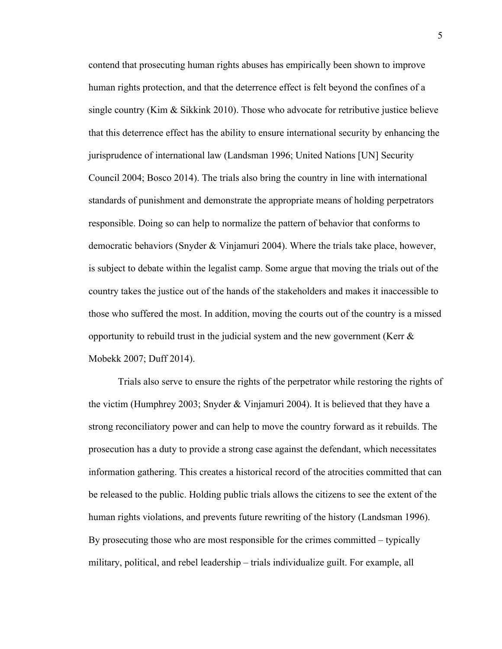contend that prosecuting human rights abuses has empirically been shown to improve human rights protection, and that the deterrence effect is felt beyond the confines of a single country (Kim  $\&$  Sikkink 2010). Those who advocate for retributive justice believe that this deterrence effect has the ability to ensure international security by enhancing the jurisprudence of international law (Landsman 1996; United Nations [UN] Security Council 2004; Bosco 2014). The trials also bring the country in line with international standards of punishment and demonstrate the appropriate means of holding perpetrators responsible. Doing so can help to normalize the pattern of behavior that conforms to democratic behaviors (Snyder & Vinjamuri 2004). Where the trials take place, however, is subject to debate within the legalist camp. Some argue that moving the trials out of the country takes the justice out of the hands of the stakeholders and makes it inaccessible to those who suffered the most. In addition, moving the courts out of the country is a missed opportunity to rebuild trust in the judicial system and the new government (Kerr  $\&$ Mobekk 2007; Duff 2014).

Trials also serve to ensure the rights of the perpetrator while restoring the rights of the victim (Humphrey 2003; Snyder & Vinjamuri 2004). It is believed that they have a strong reconciliatory power and can help to move the country forward as it rebuilds. The prosecution has a duty to provide a strong case against the defendant, which necessitates information gathering. This creates a historical record of the atrocities committed that can be released to the public. Holding public trials allows the citizens to see the extent of the human rights violations, and prevents future rewriting of the history (Landsman 1996). By prosecuting those who are most responsible for the crimes committed – typically military, political, and rebel leadership – trials individualize guilt. For example, all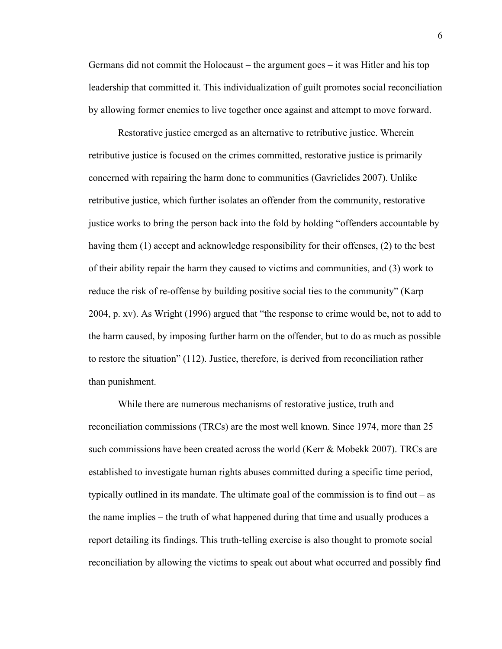Germans did not commit the Holocaust – the argument goes – it was Hitler and his top leadership that committed it. This individualization of guilt promotes social reconciliation by allowing former enemies to live together once against and attempt to move forward.

Restorative justice emerged as an alternative to retributive justice. Wherein retributive justice is focused on the crimes committed, restorative justice is primarily concerned with repairing the harm done to communities (Gavrielides 2007). Unlike retributive justice, which further isolates an offender from the community, restorative justice works to bring the person back into the fold by holding "offenders accountable by having them (1) accept and acknowledge responsibility for their offenses, (2) to the best of their ability repair the harm they caused to victims and communities, and (3) work to reduce the risk of re-offense by building positive social ties to the community" (Karp 2004, p. xv). As Wright (1996) argued that "the response to crime would be, not to add to the harm caused, by imposing further harm on the offender, but to do as much as possible to restore the situation" (112). Justice, therefore, is derived from reconciliation rather than punishment.

While there are numerous mechanisms of restorative justice, truth and reconciliation commissions (TRCs) are the most well known. Since 1974, more than 25 such commissions have been created across the world (Kerr & Mobekk 2007). TRCs are established to investigate human rights abuses committed during a specific time period, typically outlined in its mandate. The ultimate goal of the commission is to find out – as the name implies – the truth of what happened during that time and usually produces a report detailing its findings. This truth-telling exercise is also thought to promote social reconciliation by allowing the victims to speak out about what occurred and possibly find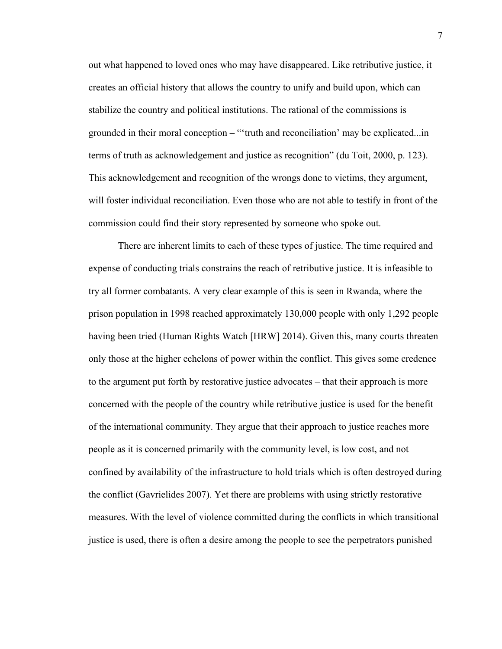out what happened to loved ones who may have disappeared. Like retributive justice, it creates an official history that allows the country to unify and build upon, which can stabilize the country and political institutions. The rational of the commissions is grounded in their moral conception – "'truth and reconciliation' may be explicated...in terms of truth as acknowledgement and justice as recognition" (du Toit, 2000, p. 123). This acknowledgement and recognition of the wrongs done to victims, they argument, will foster individual reconciliation. Even those who are not able to testify in front of the commission could find their story represented by someone who spoke out.

There are inherent limits to each of these types of justice. The time required and expense of conducting trials constrains the reach of retributive justice. It is infeasible to try all former combatants. A very clear example of this is seen in Rwanda, where the prison population in 1998 reached approximately 130,000 people with only 1,292 people having been tried (Human Rights Watch [HRW] 2014). Given this, many courts threaten only those at the higher echelons of power within the conflict. This gives some credence to the argument put forth by restorative justice advocates – that their approach is more concerned with the people of the country while retributive justice is used for the benefit of the international community. They argue that their approach to justice reaches more people as it is concerned primarily with the community level, is low cost, and not confined by availability of the infrastructure to hold trials which is often destroyed during the conflict (Gavrielides 2007). Yet there are problems with using strictly restorative measures. With the level of violence committed during the conflicts in which transitional justice is used, there is often a desire among the people to see the perpetrators punished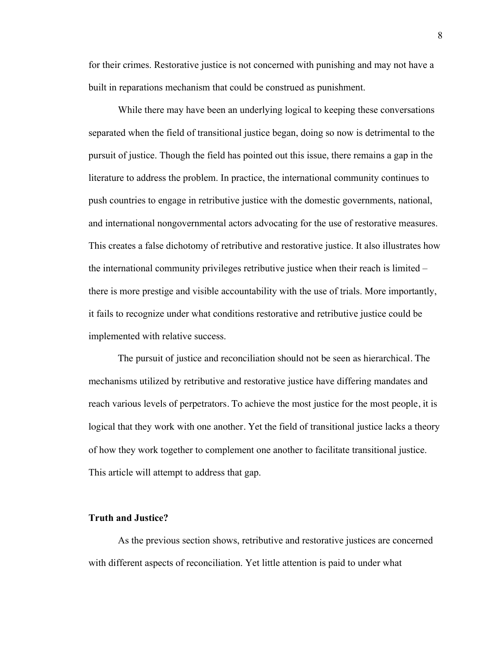for their crimes. Restorative justice is not concerned with punishing and may not have a built in reparations mechanism that could be construed as punishment.

While there may have been an underlying logical to keeping these conversations separated when the field of transitional justice began, doing so now is detrimental to the pursuit of justice. Though the field has pointed out this issue, there remains a gap in the literature to address the problem. In practice, the international community continues to push countries to engage in retributive justice with the domestic governments, national, and international nongovernmental actors advocating for the use of restorative measures. This creates a false dichotomy of retributive and restorative justice. It also illustrates how the international community privileges retributive justice when their reach is limited – there is more prestige and visible accountability with the use of trials. More importantly, it fails to recognize under what conditions restorative and retributive justice could be implemented with relative success.

The pursuit of justice and reconciliation should not be seen as hierarchical. The mechanisms utilized by retributive and restorative justice have differing mandates and reach various levels of perpetrators. To achieve the most justice for the most people, it is logical that they work with one another. Yet the field of transitional justice lacks a theory of how they work together to complement one another to facilitate transitional justice. This article will attempt to address that gap.

#### **Truth and Justice?**

As the previous section shows, retributive and restorative justices are concerned with different aspects of reconciliation. Yet little attention is paid to under what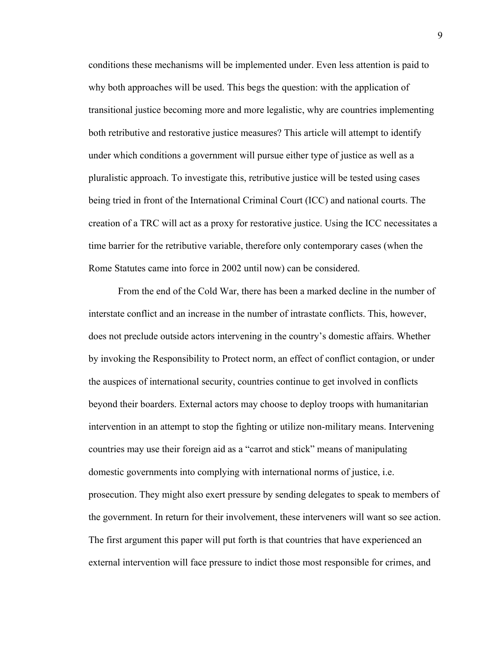conditions these mechanisms will be implemented under. Even less attention is paid to why both approaches will be used. This begs the question: with the application of transitional justice becoming more and more legalistic, why are countries implementing both retributive and restorative justice measures? This article will attempt to identify under which conditions a government will pursue either type of justice as well as a pluralistic approach. To investigate this, retributive justice will be tested using cases being tried in front of the International Criminal Court (ICC) and national courts. The creation of a TRC will act as a proxy for restorative justice. Using the ICC necessitates a time barrier for the retributive variable, therefore only contemporary cases (when the Rome Statutes came into force in 2002 until now) can be considered.

From the end of the Cold War, there has been a marked decline in the number of interstate conflict and an increase in the number of intrastate conflicts. This, however, does not preclude outside actors intervening in the country's domestic affairs. Whether by invoking the Responsibility to Protect norm, an effect of conflict contagion, or under the auspices of international security, countries continue to get involved in conflicts beyond their boarders. External actors may choose to deploy troops with humanitarian intervention in an attempt to stop the fighting or utilize non-military means. Intervening countries may use their foreign aid as a "carrot and stick" means of manipulating domestic governments into complying with international norms of justice, i.e. prosecution. They might also exert pressure by sending delegates to speak to members of the government. In return for their involvement, these interveners will want so see action. The first argument this paper will put forth is that countries that have experienced an external intervention will face pressure to indict those most responsible for crimes, and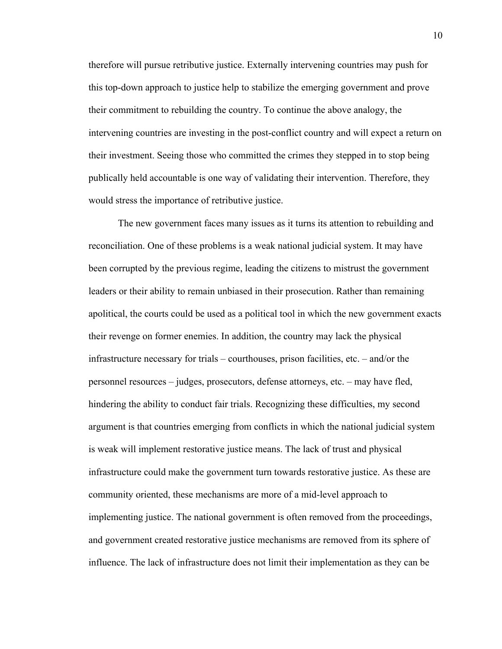therefore will pursue retributive justice. Externally intervening countries may push for this top-down approach to justice help to stabilize the emerging government and prove their commitment to rebuilding the country. To continue the above analogy, the intervening countries are investing in the post-conflict country and will expect a return on their investment. Seeing those who committed the crimes they stepped in to stop being publically held accountable is one way of validating their intervention. Therefore, they would stress the importance of retributive justice.

The new government faces many issues as it turns its attention to rebuilding and reconciliation. One of these problems is a weak national judicial system. It may have been corrupted by the previous regime, leading the citizens to mistrust the government leaders or their ability to remain unbiased in their prosecution. Rather than remaining apolitical, the courts could be used as a political tool in which the new government exacts their revenge on former enemies. In addition, the country may lack the physical infrastructure necessary for trials – courthouses, prison facilities, etc. – and/or the personnel resources – judges, prosecutors, defense attorneys, etc. – may have fled, hindering the ability to conduct fair trials. Recognizing these difficulties, my second argument is that countries emerging from conflicts in which the national judicial system is weak will implement restorative justice means. The lack of trust and physical infrastructure could make the government turn towards restorative justice. As these are community oriented, these mechanisms are more of a mid-level approach to implementing justice. The national government is often removed from the proceedings, and government created restorative justice mechanisms are removed from its sphere of influence. The lack of infrastructure does not limit their implementation as they can be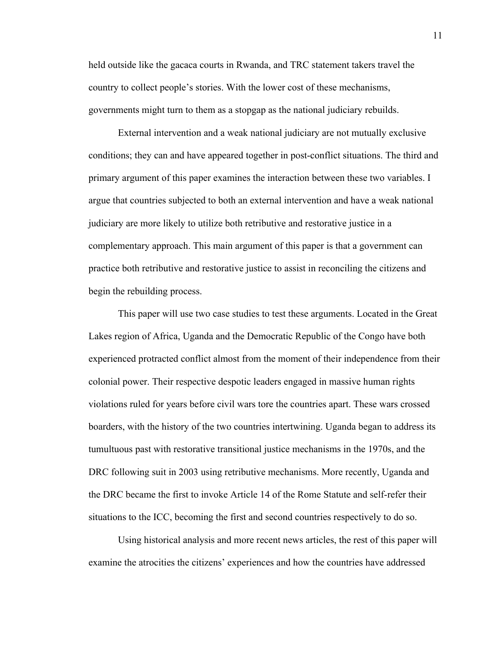held outside like the gacaca courts in Rwanda, and TRC statement takers travel the country to collect people's stories. With the lower cost of these mechanisms, governments might turn to them as a stopgap as the national judiciary rebuilds.

External intervention and a weak national judiciary are not mutually exclusive conditions; they can and have appeared together in post-conflict situations. The third and primary argument of this paper examines the interaction between these two variables. I argue that countries subjected to both an external intervention and have a weak national judiciary are more likely to utilize both retributive and restorative justice in a complementary approach. This main argument of this paper is that a government can practice both retributive and restorative justice to assist in reconciling the citizens and begin the rebuilding process.

This paper will use two case studies to test these arguments. Located in the Great Lakes region of Africa, Uganda and the Democratic Republic of the Congo have both experienced protracted conflict almost from the moment of their independence from their colonial power. Their respective despotic leaders engaged in massive human rights violations ruled for years before civil wars tore the countries apart. These wars crossed boarders, with the history of the two countries intertwining. Uganda began to address its tumultuous past with restorative transitional justice mechanisms in the 1970s, and the DRC following suit in 2003 using retributive mechanisms. More recently, Uganda and the DRC became the first to invoke Article 14 of the Rome Statute and self-refer their situations to the ICC, becoming the first and second countries respectively to do so.

Using historical analysis and more recent news articles, the rest of this paper will examine the atrocities the citizens' experiences and how the countries have addressed

11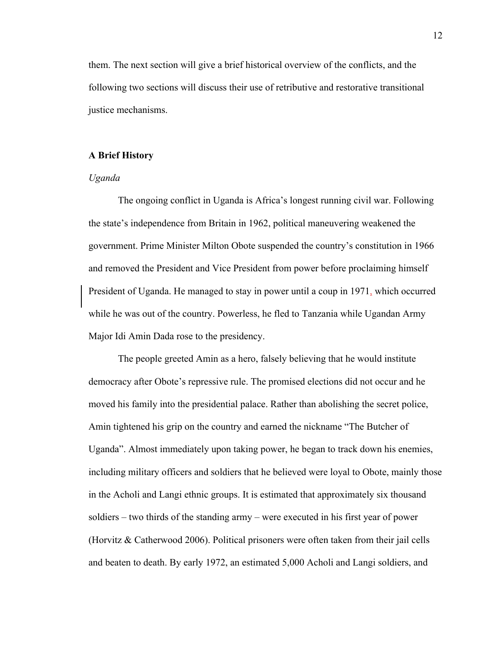them. The next section will give a brief historical overview of the conflicts, and the following two sections will discuss their use of retributive and restorative transitional justice mechanisms.

#### **A Brief History**

#### *Uganda*

The ongoing conflict in Uganda is Africa's longest running civil war. Following the state's independence from Britain in 1962, political maneuvering weakened the government. Prime Minister Milton Obote suspended the country's constitution in 1966 and removed the President and Vice President from power before proclaiming himself President of Uganda. He managed to stay in power until a coup in 1971, which occurred while he was out of the country. Powerless, he fled to Tanzania while Ugandan Army Major Idi Amin Dada rose to the presidency.

The people greeted Amin as a hero, falsely believing that he would institute democracy after Obote's repressive rule. The promised elections did not occur and he moved his family into the presidential palace. Rather than abolishing the secret police, Amin tightened his grip on the country and earned the nickname "The Butcher of Uganda". Almost immediately upon taking power, he began to track down his enemies, including military officers and soldiers that he believed were loyal to Obote, mainly those in the Acholi and Langi ethnic groups. It is estimated that approximately six thousand soldiers – two thirds of the standing army – were executed in his first year of power (Horvitz & Catherwood 2006). Political prisoners were often taken from their jail cells and beaten to death. By early 1972, an estimated 5,000 Acholi and Langi soldiers, and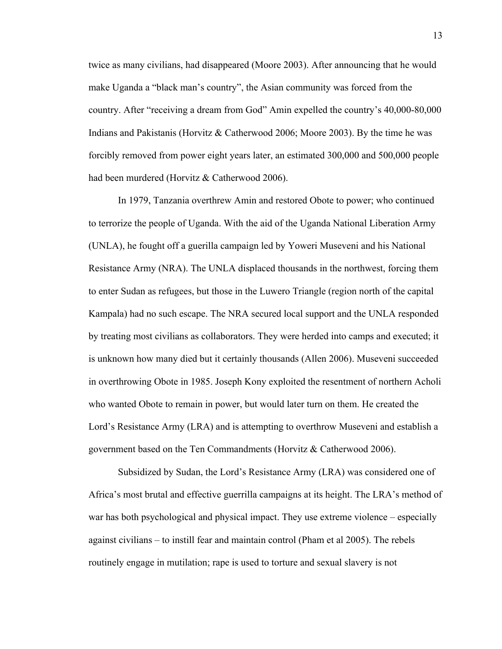twice as many civilians, had disappeared (Moore 2003). After announcing that he would make Uganda a "black man's country", the Asian community was forced from the country. After "receiving a dream from God" Amin expelled the country's 40,000-80,000 Indians and Pakistanis (Horvitz & Catherwood 2006; Moore 2003). By the time he was forcibly removed from power eight years later, an estimated 300,000 and 500,000 people had been murdered (Horvitz & Catherwood 2006).

In 1979, Tanzania overthrew Amin and restored Obote to power; who continued to terrorize the people of Uganda. With the aid of the Uganda National Liberation Army (UNLA), he fought off a guerilla campaign led by Yoweri Museveni and his National Resistance Army (NRA). The UNLA displaced thousands in the northwest, forcing them to enter Sudan as refugees, but those in the Luwero Triangle (region north of the capital Kampala) had no such escape. The NRA secured local support and the UNLA responded by treating most civilians as collaborators. They were herded into camps and executed; it is unknown how many died but it certainly thousands (Allen 2006). Museveni succeeded in overthrowing Obote in 1985. Joseph Kony exploited the resentment of northern Acholi who wanted Obote to remain in power, but would later turn on them. He created the Lord's Resistance Army (LRA) and is attempting to overthrow Museveni and establish a government based on the Ten Commandments (Horvitz & Catherwood 2006).

Subsidized by Sudan, the Lord's Resistance Army (LRA) was considered one of Africa's most brutal and effective guerrilla campaigns at its height. The LRA's method of war has both psychological and physical impact. They use extreme violence – especially against civilians – to instill fear and maintain control (Pham et al 2005). The rebels routinely engage in mutilation; rape is used to torture and sexual slavery is not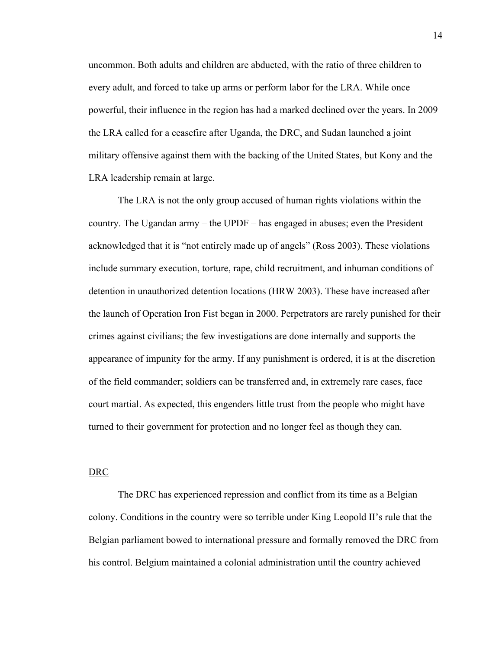uncommon. Both adults and children are abducted, with the ratio of three children to every adult, and forced to take up arms or perform labor for the LRA. While once powerful, their influence in the region has had a marked declined over the years. In 2009 the LRA called for a ceasefire after Uganda, the DRC, and Sudan launched a joint military offensive against them with the backing of the United States, but Kony and the LRA leadership remain at large.

The LRA is not the only group accused of human rights violations within the country. The Ugandan army – the UPDF – has engaged in abuses; even the President acknowledged that it is "not entirely made up of angels" (Ross 2003). These violations include summary execution, torture, rape, child recruitment, and inhuman conditions of detention in unauthorized detention locations (HRW 2003). These have increased after the launch of Operation Iron Fist began in 2000. Perpetrators are rarely punished for their crimes against civilians; the few investigations are done internally and supports the appearance of impunity for the army. If any punishment is ordered, it is at the discretion of the field commander; soldiers can be transferred and, in extremely rare cases, face court martial. As expected, this engenders little trust from the people who might have turned to their government for protection and no longer feel as though they can.

#### DRC

The DRC has experienced repression and conflict from its time as a Belgian colony. Conditions in the country were so terrible under King Leopold II's rule that the Belgian parliament bowed to international pressure and formally removed the DRC from his control. Belgium maintained a colonial administration until the country achieved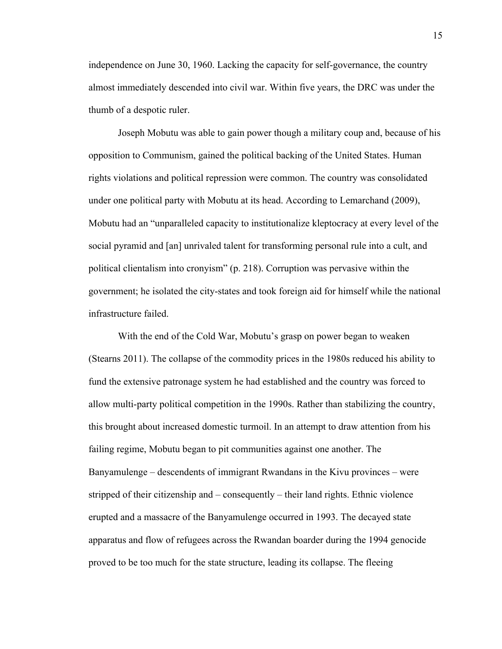independence on June 30, 1960. Lacking the capacity for self-governance, the country almost immediately descended into civil war. Within five years, the DRC was under the thumb of a despotic ruler.

Joseph Mobutu was able to gain power though a military coup and, because of his opposition to Communism, gained the political backing of the United States. Human rights violations and political repression were common. The country was consolidated under one political party with Mobutu at its head. According to Lemarchand (2009), Mobutu had an "unparalleled capacity to institutionalize kleptocracy at every level of the social pyramid and [an] unrivaled talent for transforming personal rule into a cult, and political clientalism into cronyism" (p. 218). Corruption was pervasive within the government; he isolated the city-states and took foreign aid for himself while the national infrastructure failed.

With the end of the Cold War, Mobutu's grasp on power began to weaken (Stearns 2011). The collapse of the commodity prices in the 1980s reduced his ability to fund the extensive patronage system he had established and the country was forced to allow multi-party political competition in the 1990s. Rather than stabilizing the country, this brought about increased domestic turmoil. In an attempt to draw attention from his failing regime, Mobutu began to pit communities against one another. The Banyamulenge – descendents of immigrant Rwandans in the Kivu provinces – were stripped of their citizenship and – consequently – their land rights. Ethnic violence erupted and a massacre of the Banyamulenge occurred in 1993. The decayed state apparatus and flow of refugees across the Rwandan boarder during the 1994 genocide proved to be too much for the state structure, leading its collapse. The fleeing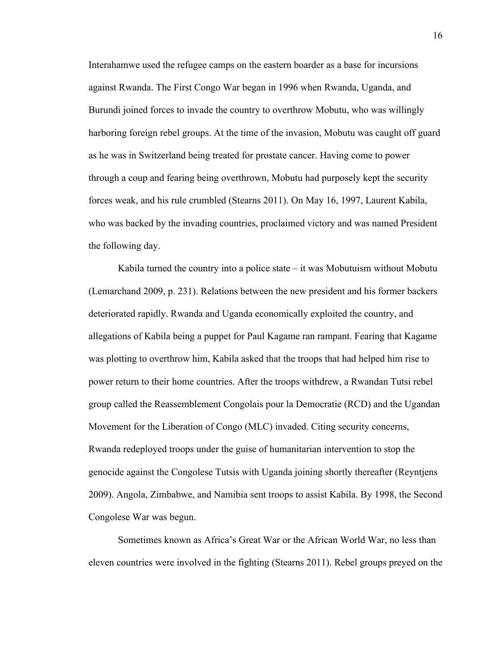Interahamwe used the refugee camps on the eastern boarder as a base for incursions against Rwanda. The First Congo War began in 1996 when Rwanda, Uganda, and Burundi joined forces to invade the country to overthrow Mobutu, who was willingly harboring foreign rebel groups. At the time of the invasion, Mobutu was caught off guard as he was in Switzerland being treated for prostate cancer. Having come to power through a coup and fearing being overthrown, Mobutu had purposely kept the security forces weak, and his rule crumbled (Stearns 2011). On May 16, 1997, Laurent Kabila, who was backed by the invading countries, proclaimed victory and was named President the following day.

Kabila turned the country into a police state – it was Mobutuism without Mobutu (Lemarchand 2009, p. 231). Relations between the new president and his former backers deteriorated rapidly. Rwanda and Uganda economically exploited the country, and allegations of Kabila being a puppet for Paul Kagame ran rampant. Fearing that Kagame was plotting to overthrow him, Kabila asked that the troops that had helped him rise to power return to their home countries. After the troops withdrew, a Rwandan Tutsi rebel group called the Reassemblement Congolais pour la Democratie (RCD) and the Ugandan Movement for the Liberation of Congo (MLC) invaded. Citing security concerns, Rwanda redeployed troops under the guise of humanitarian intervention to stop the genocide against the Congolese Tutsis with Uganda joining shortly thereafter (Reyntjens 2009). Angola, Zimbabwe, and Namibia sent troops to assist Kabila. By 1998, the Second Congolese War was begun.

Sometimes known as Africa's Great War or the African World War, no less than eleven countries were involved in the fighting (Stearns 2011). Rebel groups preyed on the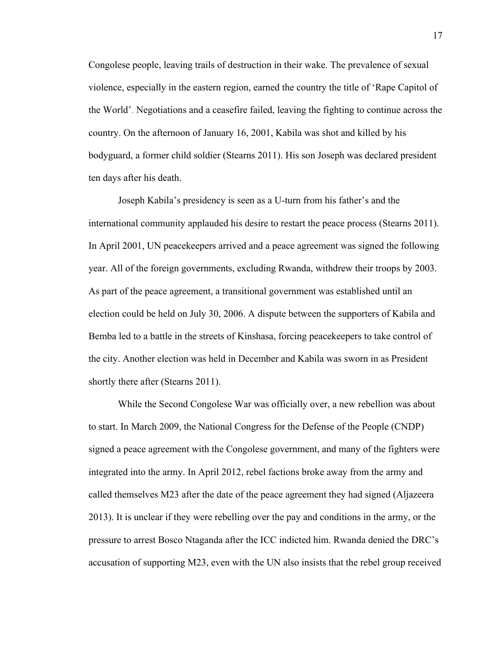Congolese people, leaving trails of destruction in their wake. The prevalence of sexual violence, especially in the eastern region, earned the country the title of 'Rape Capitol of the World'. Negotiations and a ceasefire failed, leaving the fighting to continue across the country. On the afternoon of January 16, 2001, Kabila was shot and killed by his bodyguard, a former child soldier (Stearns 2011). His son Joseph was declared president ten days after his death.

Joseph Kabila's presidency is seen as a U-turn from his father's and the international community applauded his desire to restart the peace process (Stearns 2011). In April 2001, UN peacekeepers arrived and a peace agreement was signed the following year. All of the foreign governments, excluding Rwanda, withdrew their troops by 2003. As part of the peace agreement, a transitional government was established until an election could be held on July 30, 2006. A dispute between the supporters of Kabila and Bemba led to a battle in the streets of Kinshasa, forcing peacekeepers to take control of the city. Another election was held in December and Kabila was sworn in as President shortly there after (Stearns 2011).

While the Second Congolese War was officially over, a new rebellion was about to start. In March 2009, the National Congress for the Defense of the People (CNDP) signed a peace agreement with the Congolese government, and many of the fighters were integrated into the army. In April 2012, rebel factions broke away from the army and called themselves M23 after the date of the peace agreement they had signed (Aljazeera 2013). It is unclear if they were rebelling over the pay and conditions in the army, or the pressure to arrest Bosco Ntaganda after the ICC indicted him. Rwanda denied the DRC's accusation of supporting M23, even with the UN also insists that the rebel group received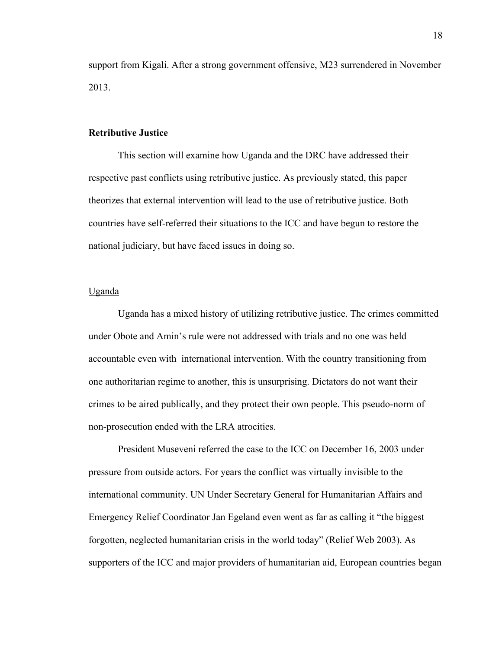support from Kigali. After a strong government offensive, M23 surrendered in November 2013.

#### **Retributive Justice**

This section will examine how Uganda and the DRC have addressed their respective past conflicts using retributive justice. As previously stated, this paper theorizes that external intervention will lead to the use of retributive justice. Both countries have self-referred their situations to the ICC and have begun to restore the national judiciary, but have faced issues in doing so.

#### Uganda

Uganda has a mixed history of utilizing retributive justice. The crimes committed under Obote and Amin's rule were not addressed with trials and no one was held accountable even with international intervention. With the country transitioning from one authoritarian regime to another, this is unsurprising. Dictators do not want their crimes to be aired publically, and they protect their own people. This pseudo-norm of non-prosecution ended with the LRA atrocities.

President Museveni referred the case to the ICC on December 16, 2003 under pressure from outside actors. For years the conflict was virtually invisible to the international community. UN Under Secretary General for Humanitarian Affairs and Emergency Relief Coordinator Jan Egeland even went as far as calling it "the biggest forgotten, neglected humanitarian crisis in the world today" (Relief Web 2003). As supporters of the ICC and major providers of humanitarian aid, European countries began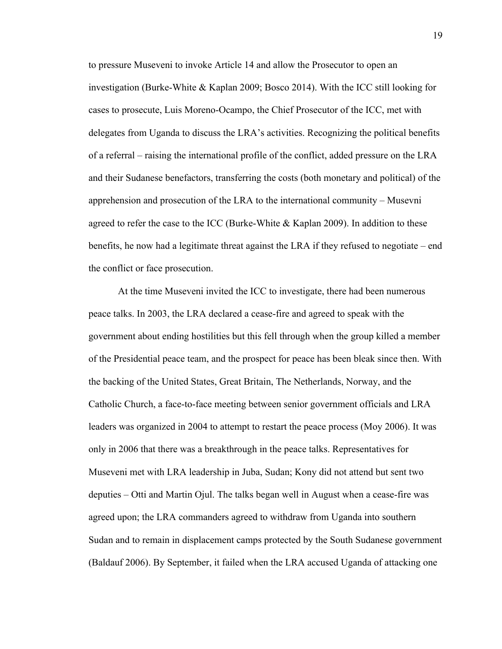to pressure Museveni to invoke Article 14 and allow the Prosecutor to open an investigation (Burke-White & Kaplan 2009; Bosco 2014). With the ICC still looking for cases to prosecute, Luis Moreno-Ocampo, the Chief Prosecutor of the ICC, met with delegates from Uganda to discuss the LRA's activities. Recognizing the political benefits of a referral – raising the international profile of the conflict, added pressure on the LRA and their Sudanese benefactors, transferring the costs (both monetary and political) of the apprehension and prosecution of the LRA to the international community – Musevni agreed to refer the case to the ICC (Burke-White  $\&$  Kaplan 2009). In addition to these benefits, he now had a legitimate threat against the LRA if they refused to negotiate – end the conflict or face prosecution.

At the time Museveni invited the ICC to investigate, there had been numerous peace talks. In 2003, the LRA declared a cease-fire and agreed to speak with the government about ending hostilities but this fell through when the group killed a member of the Presidential peace team, and the prospect for peace has been bleak since then. With the backing of the United States, Great Britain, The Netherlands, Norway, and the Catholic Church, a face-to-face meeting between senior government officials and LRA leaders was organized in 2004 to attempt to restart the peace process (Moy 2006). It was only in 2006 that there was a breakthrough in the peace talks. Representatives for Museveni met with LRA leadership in Juba, Sudan; Kony did not attend but sent two deputies – Otti and Martin Ojul. The talks began well in August when a cease-fire was agreed upon; the LRA commanders agreed to withdraw from Uganda into southern Sudan and to remain in displacement camps protected by the South Sudanese government (Baldauf 2006). By September, it failed when the LRA accused Uganda of attacking one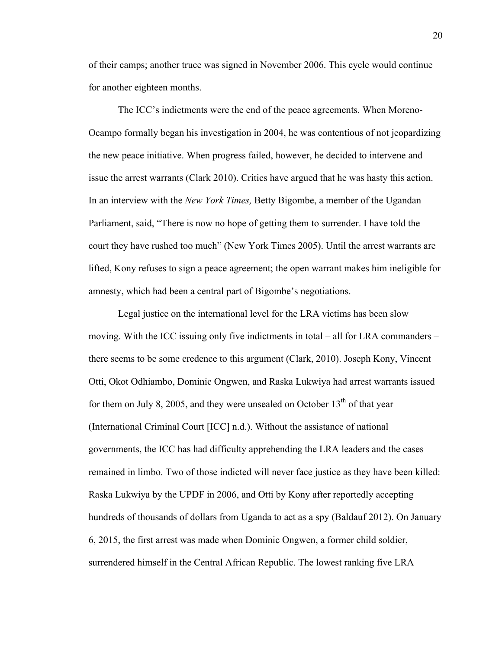of their camps; another truce was signed in November 2006. This cycle would continue for another eighteen months.

The ICC's indictments were the end of the peace agreements. When Moreno-Ocampo formally began his investigation in 2004, he was contentious of not jeopardizing the new peace initiative. When progress failed, however, he decided to intervene and issue the arrest warrants (Clark 2010). Critics have argued that he was hasty this action. In an interview with the *New York Times,* Betty Bigombe, a member of the Ugandan Parliament, said, "There is now no hope of getting them to surrender. I have told the court they have rushed too much" (New York Times 2005). Until the arrest warrants are lifted, Kony refuses to sign a peace agreement; the open warrant makes him ineligible for amnesty, which had been a central part of Bigombe's negotiations.

Legal justice on the international level for the LRA victims has been slow moving. With the ICC issuing only five indictments in total – all for LRA commanders – there seems to be some credence to this argument (Clark, 2010). Joseph Kony, Vincent Otti, Okot Odhiambo, Dominic Ongwen, and Raska Lukwiya had arrest warrants issued for them on July 8, 2005, and they were unsealed on October  $13<sup>th</sup>$  of that year (International Criminal Court [ICC] n.d.). Without the assistance of national governments, the ICC has had difficulty apprehending the LRA leaders and the cases remained in limbo. Two of those indicted will never face justice as they have been killed: Raska Lukwiya by the UPDF in 2006, and Otti by Kony after reportedly accepting hundreds of thousands of dollars from Uganda to act as a spy (Baldauf 2012). On January 6, 2015, the first arrest was made when Dominic Ongwen, a former child soldier, surrendered himself in the Central African Republic. The lowest ranking five LRA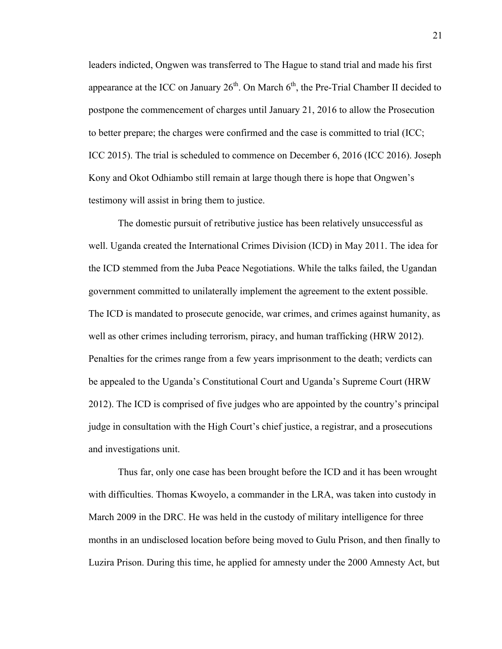leaders indicted, Ongwen was transferred to The Hague to stand trial and made his first appearance at the ICC on January  $26<sup>th</sup>$ . On March  $6<sup>th</sup>$ , the Pre-Trial Chamber II decided to postpone the commencement of charges until January 21, 2016 to allow the Prosecution to better prepare; the charges were confirmed and the case is committed to trial (ICC; ICC 2015). The trial is scheduled to commence on December 6, 2016 (ICC 2016). Joseph Kony and Okot Odhiambo still remain at large though there is hope that Ongwen's testimony will assist in bring them to justice.

The domestic pursuit of retributive justice has been relatively unsuccessful as well. Uganda created the International Crimes Division (ICD) in May 2011. The idea for the ICD stemmed from the Juba Peace Negotiations. While the talks failed, the Ugandan government committed to unilaterally implement the agreement to the extent possible. The ICD is mandated to prosecute genocide, war crimes, and crimes against humanity, as well as other crimes including terrorism, piracy, and human trafficking (HRW 2012). Penalties for the crimes range from a few years imprisonment to the death; verdicts can be appealed to the Uganda's Constitutional Court and Uganda's Supreme Court (HRW 2012). The ICD is comprised of five judges who are appointed by the country's principal judge in consultation with the High Court's chief justice, a registrar, and a prosecutions and investigations unit.

Thus far, only one case has been brought before the ICD and it has been wrought with difficulties. Thomas Kwoyelo, a commander in the LRA, was taken into custody in March 2009 in the DRC. He was held in the custody of military intelligence for three months in an undisclosed location before being moved to Gulu Prison, and then finally to Luzira Prison. During this time, he applied for amnesty under the 2000 Amnesty Act, but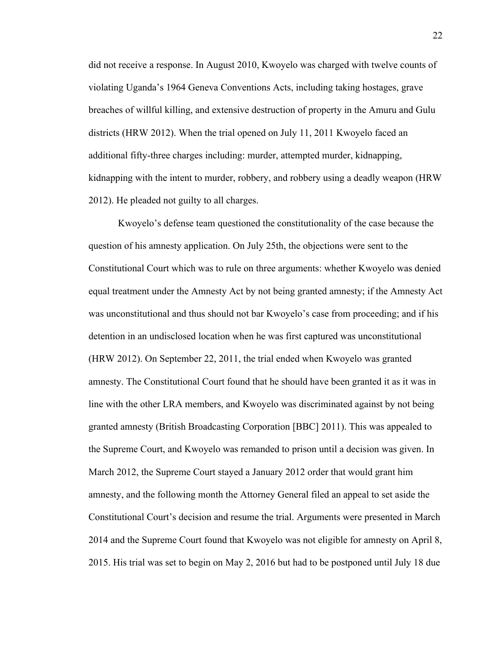did not receive a response. In August 2010, Kwoyelo was charged with twelve counts of violating Uganda's 1964 Geneva Conventions Acts, including taking hostages, grave breaches of willful killing, and extensive destruction of property in the Amuru and Gulu districts (HRW 2012). When the trial opened on July 11, 2011 Kwoyelo faced an additional fifty-three charges including: murder, attempted murder, kidnapping, kidnapping with the intent to murder, robbery, and robbery using a deadly weapon (HRW 2012). He pleaded not guilty to all charges.

Kwoyelo's defense team questioned the constitutionality of the case because the question of his amnesty application. On July 25th, the objections were sent to the Constitutional Court which was to rule on three arguments: whether Kwoyelo was denied equal treatment under the Amnesty Act by not being granted amnesty; if the Amnesty Act was unconstitutional and thus should not bar Kwoyelo's case from proceeding; and if his detention in an undisclosed location when he was first captured was unconstitutional (HRW 2012). On September 22, 2011, the trial ended when Kwoyelo was granted amnesty. The Constitutional Court found that he should have been granted it as it was in line with the other LRA members, and Kwoyelo was discriminated against by not being granted amnesty (British Broadcasting Corporation [BBC] 2011). This was appealed to the Supreme Court, and Kwoyelo was remanded to prison until a decision was given. In March 2012, the Supreme Court stayed a January 2012 order that would grant him amnesty, and the following month the Attorney General filed an appeal to set aside the Constitutional Court's decision and resume the trial. Arguments were presented in March 2014 and the Supreme Court found that Kwoyelo was not eligible for amnesty on April 8, 2015. His trial was set to begin on May 2, 2016 but had to be postponed until July 18 due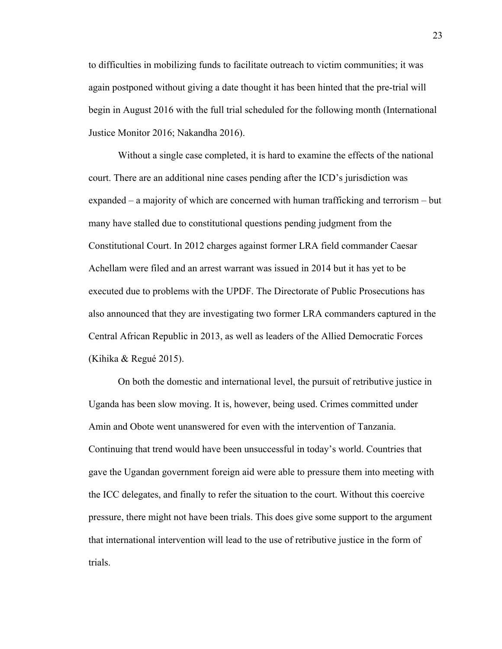to difficulties in mobilizing funds to facilitate outreach to victim communities; it was again postponed without giving a date thought it has been hinted that the pre-trial will begin in August 2016 with the full trial scheduled for the following month (International Justice Monitor 2016; Nakandha 2016).

Without a single case completed, it is hard to examine the effects of the national court. There are an additional nine cases pending after the ICD's jurisdiction was expanded – a majority of which are concerned with human trafficking and terrorism – but many have stalled due to constitutional questions pending judgment from the Constitutional Court. In 2012 charges against former LRA field commander Caesar Achellam were filed and an arrest warrant was issued in 2014 but it has yet to be executed due to problems with the UPDF. The Directorate of Public Prosecutions has also announced that they are investigating two former LRA commanders captured in the Central African Republic in 2013, as well as leaders of the Allied Democratic Forces (Kihika & Regué 2015).

On both the domestic and international level, the pursuit of retributive justice in Uganda has been slow moving. It is, however, being used. Crimes committed under Amin and Obote went unanswered for even with the intervention of Tanzania. Continuing that trend would have been unsuccessful in today's world. Countries that gave the Ugandan government foreign aid were able to pressure them into meeting with the ICC delegates, and finally to refer the situation to the court. Without this coercive pressure, there might not have been trials. This does give some support to the argument that international intervention will lead to the use of retributive justice in the form of trials.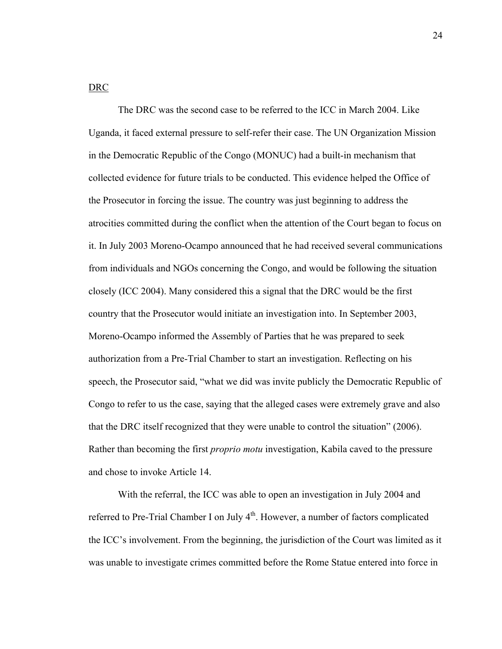#### DRC

The DRC was the second case to be referred to the ICC in March 2004. Like Uganda, it faced external pressure to self-refer their case. The UN Organization Mission in the Democratic Republic of the Congo (MONUC) had a built-in mechanism that collected evidence for future trials to be conducted. This evidence helped the Office of the Prosecutor in forcing the issue. The country was just beginning to address the atrocities committed during the conflict when the attention of the Court began to focus on it. In July 2003 Moreno-Ocampo announced that he had received several communications from individuals and NGOs concerning the Congo, and would be following the situation closely (ICC 2004). Many considered this a signal that the DRC would be the first country that the Prosecutor would initiate an investigation into. In September 2003, Moreno-Ocampo informed the Assembly of Parties that he was prepared to seek authorization from a Pre-Trial Chamber to start an investigation. Reflecting on his speech, the Prosecutor said, "what we did was invite publicly the Democratic Republic of Congo to refer to us the case, saying that the alleged cases were extremely grave and also that the DRC itself recognized that they were unable to control the situation" (2006). Rather than becoming the first *proprio motu* investigation, Kabila caved to the pressure and chose to invoke Article 14.

With the referral, the ICC was able to open an investigation in July 2004 and referred to Pre-Trial Chamber I on July 4<sup>th</sup>. However, a number of factors complicated the ICC's involvement. From the beginning, the jurisdiction of the Court was limited as it was unable to investigate crimes committed before the Rome Statue entered into force in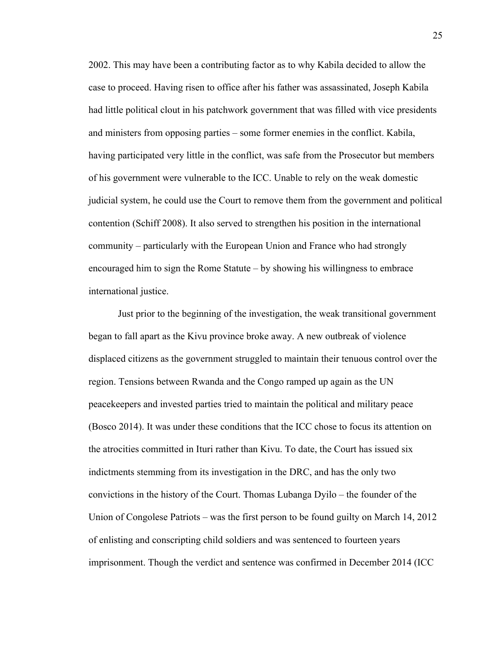2002. This may have been a contributing factor as to why Kabila decided to allow the case to proceed. Having risen to office after his father was assassinated, Joseph Kabila had little political clout in his patchwork government that was filled with vice presidents and ministers from opposing parties – some former enemies in the conflict. Kabila, having participated very little in the conflict, was safe from the Prosecutor but members of his government were vulnerable to the ICC. Unable to rely on the weak domestic judicial system, he could use the Court to remove them from the government and political contention (Schiff 2008). It also served to strengthen his position in the international community – particularly with the European Union and France who had strongly encouraged him to sign the Rome Statute – by showing his willingness to embrace international justice.

Just prior to the beginning of the investigation, the weak transitional government began to fall apart as the Kivu province broke away. A new outbreak of violence displaced citizens as the government struggled to maintain their tenuous control over the region. Tensions between Rwanda and the Congo ramped up again as the UN peacekeepers and invested parties tried to maintain the political and military peace (Bosco 2014). It was under these conditions that the ICC chose to focus its attention on the atrocities committed in Ituri rather than Kivu. To date, the Court has issued six indictments stemming from its investigation in the DRC, and has the only two convictions in the history of the Court. Thomas Lubanga Dyilo – the founder of the Union of Congolese Patriots – was the first person to be found guilty on March 14, 2012 of enlisting and conscripting child soldiers and was sentenced to fourteen years imprisonment. Though the verdict and sentence was confirmed in December 2014 (ICC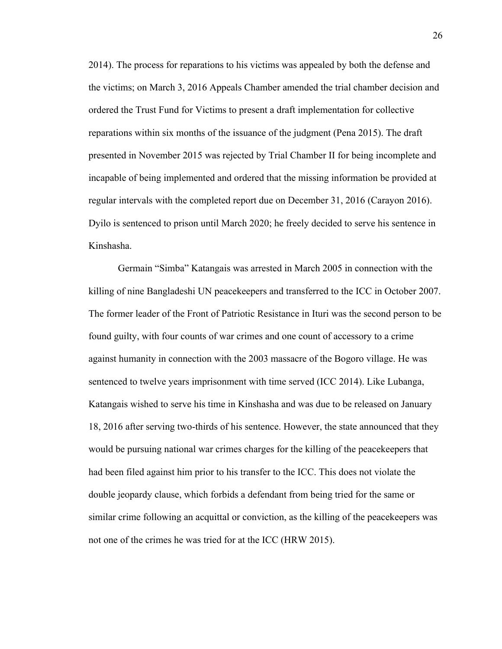2014). The process for reparations to his victims was appealed by both the defense and the victims; on March 3, 2016 Appeals Chamber amended the trial chamber decision and ordered the Trust Fund for Victims to present a draft implementation for collective reparations within six months of the issuance of the judgment (Pena 2015). The draft presented in November 2015 was rejected by Trial Chamber II for being incomplete and incapable of being implemented and ordered that the missing information be provided at regular intervals with the completed report due on December 31, 2016 (Carayon 2016). Dyilo is sentenced to prison until March 2020; he freely decided to serve his sentence in Kinshasha.

Germain "Simba" Katangais was arrested in March 2005 in connection with the killing of nine Bangladeshi UN peacekeepers and transferred to the ICC in October 2007. The former leader of the Front of Patriotic Resistance in Ituri was the second person to be found guilty, with four counts of war crimes and one count of accessory to a crime against humanity in connection with the 2003 massacre of the Bogoro village. He was sentenced to twelve years imprisonment with time served (ICC 2014). Like Lubanga, Katangais wished to serve his time in Kinshasha and was due to be released on January 18, 2016 after serving two-thirds of his sentence. However, the state announced that they would be pursuing national war crimes charges for the killing of the peacekeepers that had been filed against him prior to his transfer to the ICC. This does not violate the double jeopardy clause, which forbids a defendant from being tried for the same or similar crime following an acquittal or conviction, as the killing of the peacekeepers was not one of the crimes he was tried for at the ICC (HRW 2015).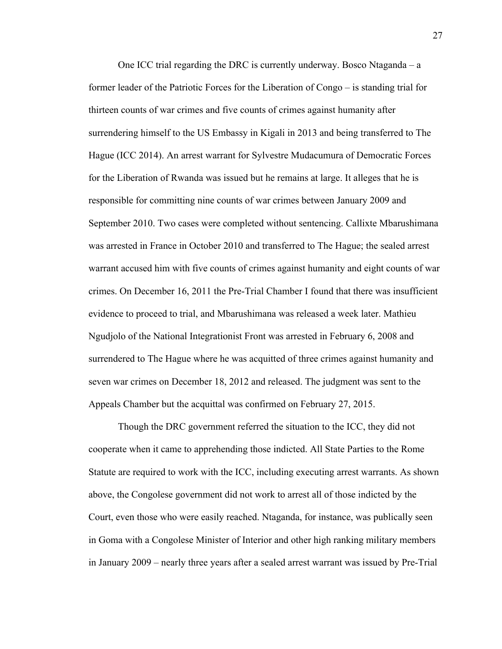One ICC trial regarding the DRC is currently underway. Bosco Ntaganda – a former leader of the Patriotic Forces for the Liberation of Congo – is standing trial for thirteen counts of war crimes and five counts of crimes against humanity after surrendering himself to the US Embassy in Kigali in 2013 and being transferred to The Hague (ICC 2014). An arrest warrant for Sylvestre Mudacumura of Democratic Forces for the Liberation of Rwanda was issued but he remains at large. It alleges that he is responsible for committing nine counts of war crimes between January 2009 and September 2010. Two cases were completed without sentencing. Callixte Mbarushimana was arrested in France in October 2010 and transferred to The Hague; the sealed arrest warrant accused him with five counts of crimes against humanity and eight counts of war crimes. On December 16, 2011 the Pre-Trial Chamber I found that there was insufficient evidence to proceed to trial, and Mbarushimana was released a week later. Mathieu Ngudjolo of the National Integrationist Front was arrested in February 6, 2008 and surrendered to The Hague where he was acquitted of three crimes against humanity and seven war crimes on December 18, 2012 and released. The judgment was sent to the Appeals Chamber but the acquittal was confirmed on February 27, 2015.

Though the DRC government referred the situation to the ICC, they did not cooperate when it came to apprehending those indicted. All State Parties to the Rome Statute are required to work with the ICC, including executing arrest warrants. As shown above, the Congolese government did not work to arrest all of those indicted by the Court, even those who were easily reached. Ntaganda, for instance, was publically seen in Goma with a Congolese Minister of Interior and other high ranking military members in January 2009 – nearly three years after a sealed arrest warrant was issued by Pre-Trial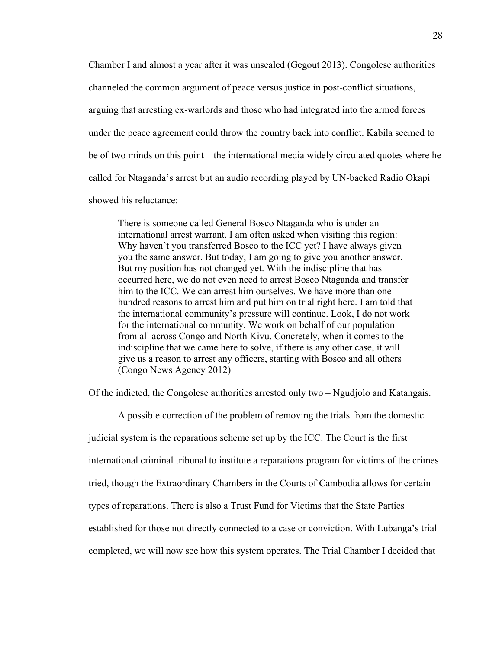Chamber I and almost a year after it was unsealed (Gegout 2013). Congolese authorities channeled the common argument of peace versus justice in post-conflict situations, arguing that arresting ex-warlords and those who had integrated into the armed forces under the peace agreement could throw the country back into conflict. Kabila seemed to be of two minds on this point – the international media widely circulated quotes where he called for Ntaganda's arrest but an audio recording played by UN-backed Radio Okapi showed his reluctance:

There is someone called General Bosco Ntaganda who is under an international arrest warrant. I am often asked when visiting this region: Why haven't you transferred Bosco to the ICC yet? I have always given you the same answer. But today, I am going to give you another answer. But my position has not changed yet. With the indiscipline that has occurred here, we do not even need to arrest Bosco Ntaganda and transfer him to the ICC. We can arrest him ourselves. We have more than one hundred reasons to arrest him and put him on trial right here. I am told that the international community's pressure will continue. Look, I do not work for the international community. We work on behalf of our population from all across Congo and North Kivu. Concretely, when it comes to the indiscipline that we came here to solve, if there is any other case, it will give us a reason to arrest any officers, starting with Bosco and all others (Congo News Agency 2012)

Of the indicted, the Congolese authorities arrested only two – Ngudjolo and Katangais.

A possible correction of the problem of removing the trials from the domestic judicial system is the reparations scheme set up by the ICC. The Court is the first international criminal tribunal to institute a reparations program for victims of the crimes tried, though the Extraordinary Chambers in the Courts of Cambodia allows for certain types of reparations. There is also a Trust Fund for Victims that the State Parties established for those not directly connected to a case or conviction. With Lubanga's trial completed, we will now see how this system operates. The Trial Chamber I decided that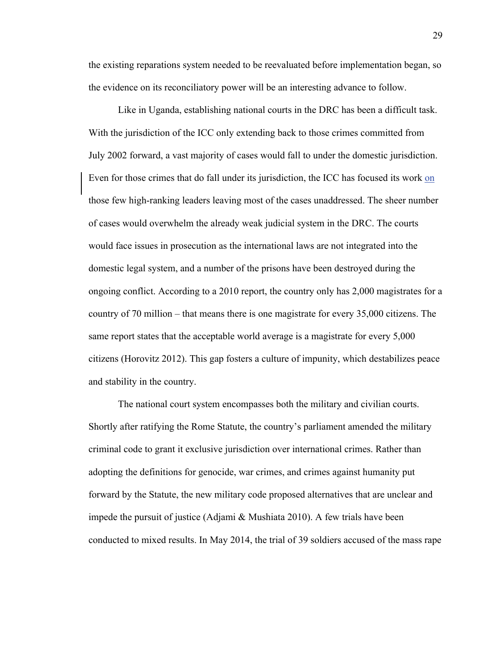the existing reparations system needed to be reevaluated before implementation began, so the evidence on its reconciliatory power will be an interesting advance to follow.

Like in Uganda, establishing national courts in the DRC has been a difficult task. With the jurisdiction of the ICC only extending back to those crimes committed from July 2002 forward, a vast majority of cases would fall to under the domestic jurisdiction. Even for those crimes that do fall under its jurisdiction, the ICC has focused its work on those few high-ranking leaders leaving most of the cases unaddressed. The sheer number of cases would overwhelm the already weak judicial system in the DRC. The courts would face issues in prosecution as the international laws are not integrated into the domestic legal system, and a number of the prisons have been destroyed during the ongoing conflict. According to a 2010 report, the country only has 2,000 magistrates for a country of 70 million – that means there is one magistrate for every 35,000 citizens. The same report states that the acceptable world average is a magistrate for every 5,000 citizens (Horovitz 2012). This gap fosters a culture of impunity, which destabilizes peace and stability in the country.

The national court system encompasses both the military and civilian courts. Shortly after ratifying the Rome Statute, the country's parliament amended the military criminal code to grant it exclusive jurisdiction over international crimes. Rather than adopting the definitions for genocide, war crimes, and crimes against humanity put forward by the Statute, the new military code proposed alternatives that are unclear and impede the pursuit of justice (Adjami & Mushiata 2010). A few trials have been conducted to mixed results. In May 2014, the trial of 39 soldiers accused of the mass rape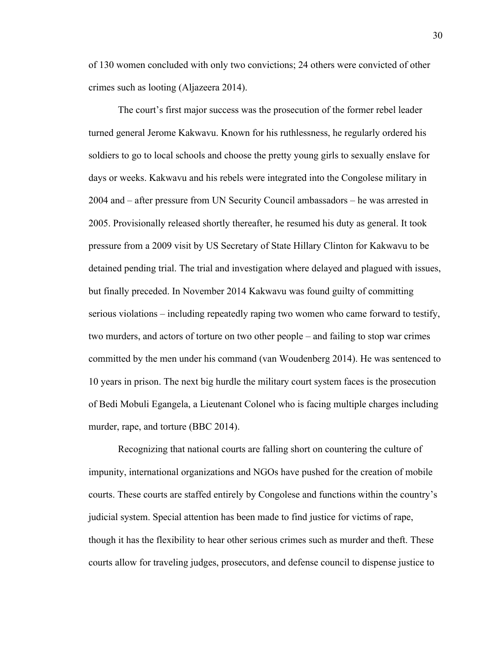of 130 women concluded with only two convictions; 24 others were convicted of other crimes such as looting (Aljazeera 2014).

The court's first major success was the prosecution of the former rebel leader turned general Jerome Kakwavu. Known for his ruthlessness, he regularly ordered his soldiers to go to local schools and choose the pretty young girls to sexually enslave for days or weeks. Kakwavu and his rebels were integrated into the Congolese military in 2004 and – after pressure from UN Security Council ambassadors – he was arrested in 2005. Provisionally released shortly thereafter, he resumed his duty as general. It took pressure from a 2009 visit by US Secretary of State Hillary Clinton for Kakwavu to be detained pending trial. The trial and investigation where delayed and plagued with issues, but finally preceded. In November 2014 Kakwavu was found guilty of committing serious violations – including repeatedly raping two women who came forward to testify, two murders, and actors of torture on two other people – and failing to stop war crimes committed by the men under his command (van Woudenberg 2014). He was sentenced to 10 years in prison. The next big hurdle the military court system faces is the prosecution of Bedi Mobuli Egangela, a Lieutenant Colonel who is facing multiple charges including murder, rape, and torture (BBC 2014).

Recognizing that national courts are falling short on countering the culture of impunity, international organizations and NGOs have pushed for the creation of mobile courts. These courts are staffed entirely by Congolese and functions within the country's judicial system. Special attention has been made to find justice for victims of rape, though it has the flexibility to hear other serious crimes such as murder and theft. These courts allow for traveling judges, prosecutors, and defense council to dispense justice to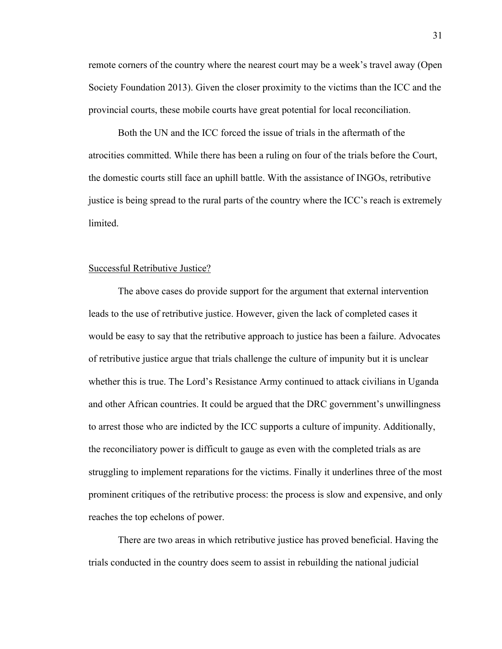remote corners of the country where the nearest court may be a week's travel away (Open Society Foundation 2013). Given the closer proximity to the victims than the ICC and the provincial courts, these mobile courts have great potential for local reconciliation.

Both the UN and the ICC forced the issue of trials in the aftermath of the atrocities committed. While there has been a ruling on four of the trials before the Court, the domestic courts still face an uphill battle. With the assistance of INGOs, retributive justice is being spread to the rural parts of the country where the ICC's reach is extremely **limited** 

#### Successful Retributive Justice?

The above cases do provide support for the argument that external intervention leads to the use of retributive justice. However, given the lack of completed cases it would be easy to say that the retributive approach to justice has been a failure. Advocates of retributive justice argue that trials challenge the culture of impunity but it is unclear whether this is true. The Lord's Resistance Army continued to attack civilians in Uganda and other African countries. It could be argued that the DRC government's unwillingness to arrest those who are indicted by the ICC supports a culture of impunity. Additionally, the reconciliatory power is difficult to gauge as even with the completed trials as are struggling to implement reparations for the victims. Finally it underlines three of the most prominent critiques of the retributive process: the process is slow and expensive, and only reaches the top echelons of power.

There are two areas in which retributive justice has proved beneficial. Having the trials conducted in the country does seem to assist in rebuilding the national judicial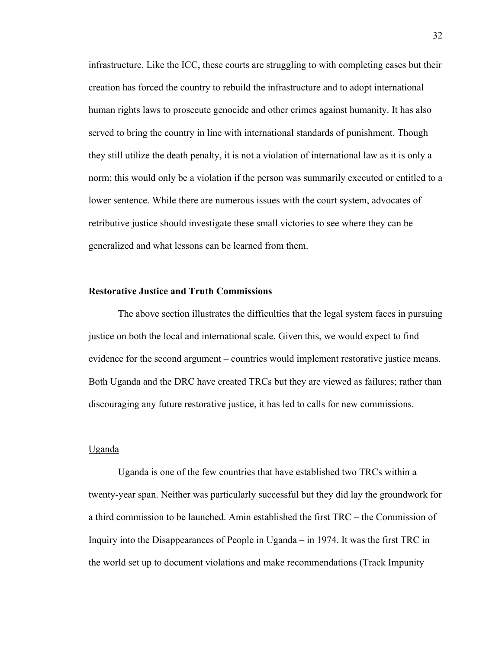infrastructure. Like the ICC, these courts are struggling to with completing cases but their creation has forced the country to rebuild the infrastructure and to adopt international human rights laws to prosecute genocide and other crimes against humanity. It has also served to bring the country in line with international standards of punishment. Though they still utilize the death penalty, it is not a violation of international law as it is only a norm; this would only be a violation if the person was summarily executed or entitled to a lower sentence. While there are numerous issues with the court system, advocates of retributive justice should investigate these small victories to see where they can be generalized and what lessons can be learned from them.

#### **Restorative Justice and Truth Commissions**

The above section illustrates the difficulties that the legal system faces in pursuing justice on both the local and international scale. Given this, we would expect to find evidence for the second argument – countries would implement restorative justice means. Both Uganda and the DRC have created TRCs but they are viewed as failures; rather than discouraging any future restorative justice, it has led to calls for new commissions.

#### Uganda

Uganda is one of the few countries that have established two TRCs within a twenty-year span. Neither was particularly successful but they did lay the groundwork for a third commission to be launched. Amin established the first TRC – the Commission of Inquiry into the Disappearances of People in Uganda – in 1974. It was the first TRC in the world set up to document violations and make recommendations (Track Impunity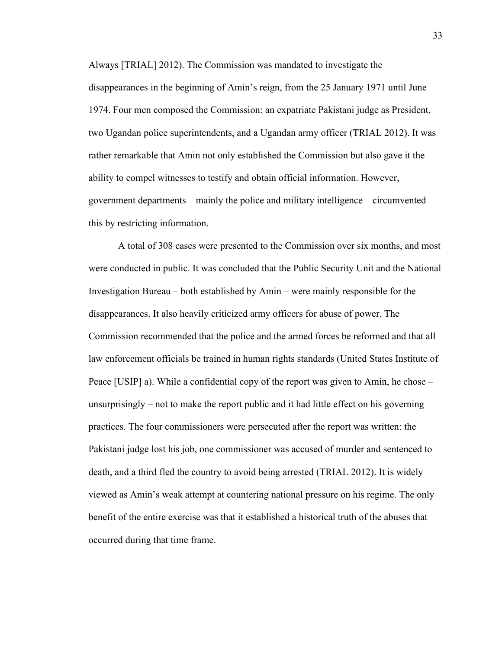Always [TRIAL] 2012). The Commission was mandated to investigate the disappearances in the beginning of Amin's reign, from the 25 January 1971 until June 1974. Four men composed the Commission: an expatriate Pakistani judge as President, two Ugandan police superintendents, and a Ugandan army officer (TRIAL 2012). It was rather remarkable that Amin not only established the Commission but also gave it the ability to compel witnesses to testify and obtain official information. However, government departments – mainly the police and military intelligence – circumvented this by restricting information.

A total of 308 cases were presented to the Commission over six months, and most were conducted in public. It was concluded that the Public Security Unit and the National Investigation Bureau – both established by Amin – were mainly responsible for the disappearances. It also heavily criticized army officers for abuse of power. The Commission recommended that the police and the armed forces be reformed and that all law enforcement officials be trained in human rights standards (United States Institute of Peace [USIP] a). While a confidential copy of the report was given to Amin, he chose – unsurprisingly – not to make the report public and it had little effect on his governing practices. The four commissioners were persecuted after the report was written: the Pakistani judge lost his job, one commissioner was accused of murder and sentenced to death, and a third fled the country to avoid being arrested (TRIAL 2012). It is widely viewed as Amin's weak attempt at countering national pressure on his regime. The only benefit of the entire exercise was that it established a historical truth of the abuses that occurred during that time frame.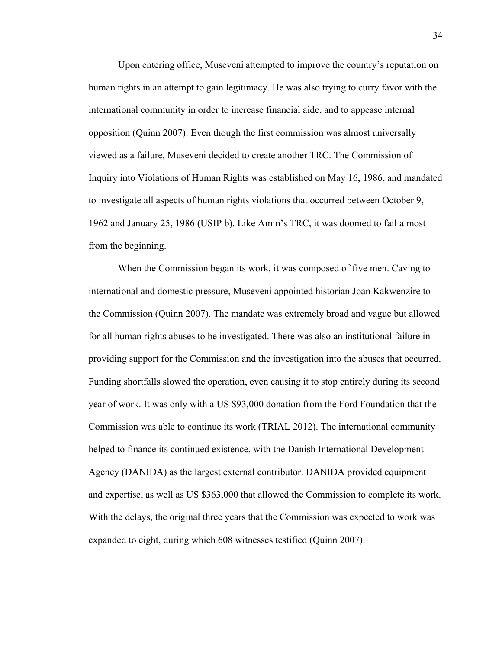Upon entering office, Museveni attempted to improve the country's reputation on human rights in an attempt to gain legitimacy. He was also trying to curry favor with the international community in order to increase financial aide, and to appease internal opposition (Quinn 2007). Even though the first commission was almost universally viewed as a failure, Museveni decided to create another TRC. The Commission of Inquiry into Violations of Human Rights was established on May 16, 1986, and mandated to investigate all aspects of human rights violations that occurred between October 9, 1962 and January 25, 1986 (USIP b). Like Amin's TRC, it was doomed to fail almost from the beginning.

When the Commission began its work, it was composed of five men. Caving to international and domestic pressure, Museveni appointed historian Joan Kakwenzire to the Commission (Quinn 2007). The mandate was extremely broad and vague but allowed for all human rights abuses to be investigated. There was also an institutional failure in providing support for the Commission and the investigation into the abuses that occurred. Funding shortfalls slowed the operation, even causing it to stop entirely during its second year of work. It was only with a US \$93,000 donation from the Ford Foundation that the Commission was able to continue its work (TRIAL 2012). The international community helped to finance its continued existence, with the Danish International Development Agency (DANIDA) as the largest external contributor. DANIDA provided equipment and expertise, as well as US \$363,000 that allowed the Commission to complete its work. With the delays, the original three years that the Commission was expected to work was expanded to eight, during which 608 witnesses testified (Quinn 2007).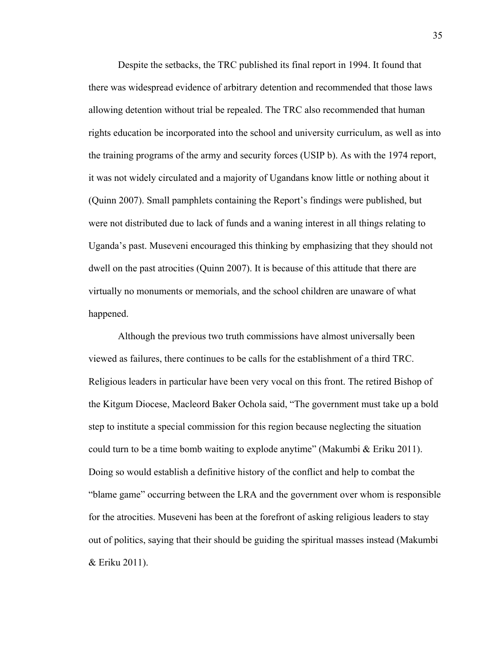Despite the setbacks, the TRC published its final report in 1994. It found that there was widespread evidence of arbitrary detention and recommended that those laws allowing detention without trial be repealed. The TRC also recommended that human rights education be incorporated into the school and university curriculum, as well as into the training programs of the army and security forces (USIP b). As with the 1974 report, it was not widely circulated and a majority of Ugandans know little or nothing about it (Quinn 2007). Small pamphlets containing the Report's findings were published, but were not distributed due to lack of funds and a waning interest in all things relating to Uganda's past. Museveni encouraged this thinking by emphasizing that they should not dwell on the past atrocities (Quinn 2007). It is because of this attitude that there are virtually no monuments or memorials, and the school children are unaware of what happened.

Although the previous two truth commissions have almost universally been viewed as failures, there continues to be calls for the establishment of a third TRC. Religious leaders in particular have been very vocal on this front. The retired Bishop of the Kitgum Diocese, Macleord Baker Ochola said, "The government must take up a bold step to institute a special commission for this region because neglecting the situation could turn to be a time bomb waiting to explode anytime" (Makumbi & Eriku 2011). Doing so would establish a definitive history of the conflict and help to combat the "blame game" occurring between the LRA and the government over whom is responsible for the atrocities. Museveni has been at the forefront of asking religious leaders to stay out of politics, saying that their should be guiding the spiritual masses instead (Makumbi & Eriku 2011).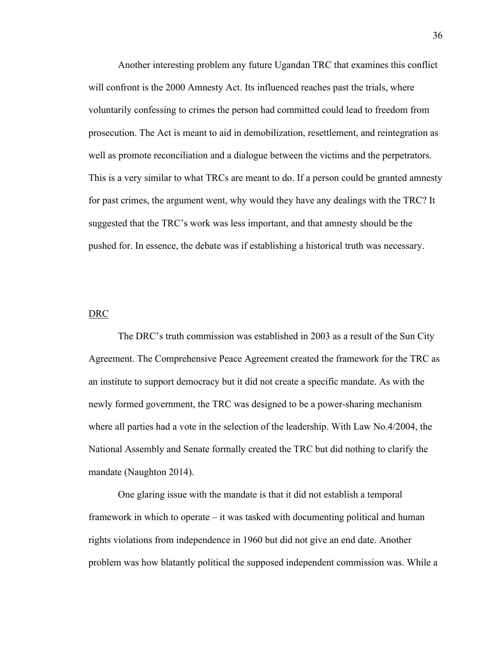Another interesting problem any future Ugandan TRC that examines this conflict will confront is the 2000 Amnesty Act. Its influenced reaches past the trials, where voluntarily confessing to crimes the person had committed could lead to freedom from prosecution. The Act is meant to aid in demobilization, resettlement, and reintegration as well as promote reconciliation and a dialogue between the victims and the perpetrators. This is a very similar to what TRCs are meant to do. If a person could be granted amnesty for past crimes, the argument went, why would they have any dealings with the TRC? It suggested that the TRC's work was less important, and that amnesty should be the pushed for. In essence, the debate was if establishing a historical truth was necessary.

#### DRC

The DRC's truth commission was established in 2003 as a result of the Sun City Agreement. The Comprehensive Peace Agreement created the framework for the TRC as an institute to support democracy but it did not create a specific mandate. As with the newly formed government, the TRC was designed to be a power-sharing mechanism where all parties had a vote in the selection of the leadership. With Law No.4/2004, the National Assembly and Senate formally created the TRC but did nothing to clarify the mandate (Naughton 2014).

One glaring issue with the mandate is that it did not establish a temporal framework in which to operate – it was tasked with documenting political and human rights violations from independence in 1960 but did not give an end date. Another problem was how blatantly political the supposed independent commission was. While a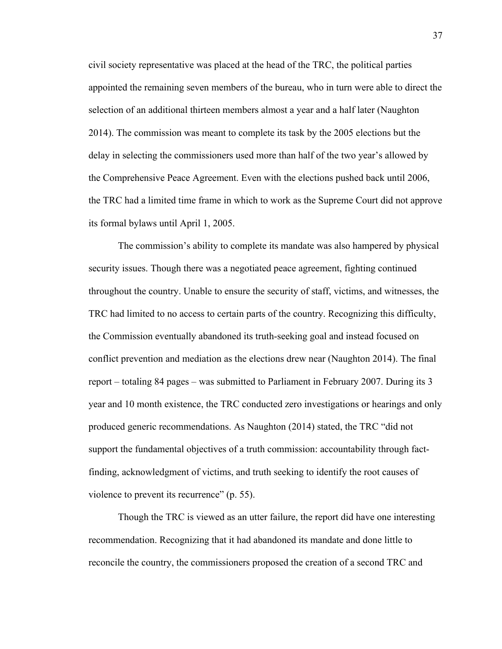civil society representative was placed at the head of the TRC, the political parties appointed the remaining seven members of the bureau, who in turn were able to direct the selection of an additional thirteen members almost a year and a half later (Naughton 2014). The commission was meant to complete its task by the 2005 elections but the delay in selecting the commissioners used more than half of the two year's allowed by the Comprehensive Peace Agreement. Even with the elections pushed back until 2006, the TRC had a limited time frame in which to work as the Supreme Court did not approve its formal bylaws until April 1, 2005.

The commission's ability to complete its mandate was also hampered by physical security issues. Though there was a negotiated peace agreement, fighting continued throughout the country. Unable to ensure the security of staff, victims, and witnesses, the TRC had limited to no access to certain parts of the country. Recognizing this difficulty, the Commission eventually abandoned its truth-seeking goal and instead focused on conflict prevention and mediation as the elections drew near (Naughton 2014). The final report – totaling 84 pages – was submitted to Parliament in February 2007. During its 3 year and 10 month existence, the TRC conducted zero investigations or hearings and only produced generic recommendations. As Naughton (2014) stated, the TRC "did not support the fundamental objectives of a truth commission: accountability through factfinding, acknowledgment of victims, and truth seeking to identify the root causes of violence to prevent its recurrence" (p. 55).

Though the TRC is viewed as an utter failure, the report did have one interesting recommendation. Recognizing that it had abandoned its mandate and done little to reconcile the country, the commissioners proposed the creation of a second TRC and

37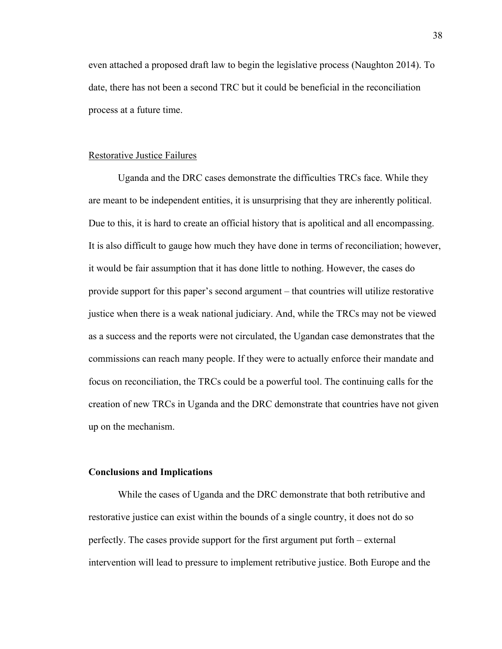even attached a proposed draft law to begin the legislative process (Naughton 2014). To date, there has not been a second TRC but it could be beneficial in the reconciliation process at a future time.

#### Restorative Justice Failures

Uganda and the DRC cases demonstrate the difficulties TRCs face. While they are meant to be independent entities, it is unsurprising that they are inherently political. Due to this, it is hard to create an official history that is apolitical and all encompassing. It is also difficult to gauge how much they have done in terms of reconciliation; however, it would be fair assumption that it has done little to nothing. However, the cases do provide support for this paper's second argument – that countries will utilize restorative justice when there is a weak national judiciary. And, while the TRCs may not be viewed as a success and the reports were not circulated, the Ugandan case demonstrates that the commissions can reach many people. If they were to actually enforce their mandate and focus on reconciliation, the TRCs could be a powerful tool. The continuing calls for the creation of new TRCs in Uganda and the DRC demonstrate that countries have not given up on the mechanism.

#### **Conclusions and Implications**

While the cases of Uganda and the DRC demonstrate that both retributive and restorative justice can exist within the bounds of a single country, it does not do so perfectly. The cases provide support for the first argument put forth – external intervention will lead to pressure to implement retributive justice. Both Europe and the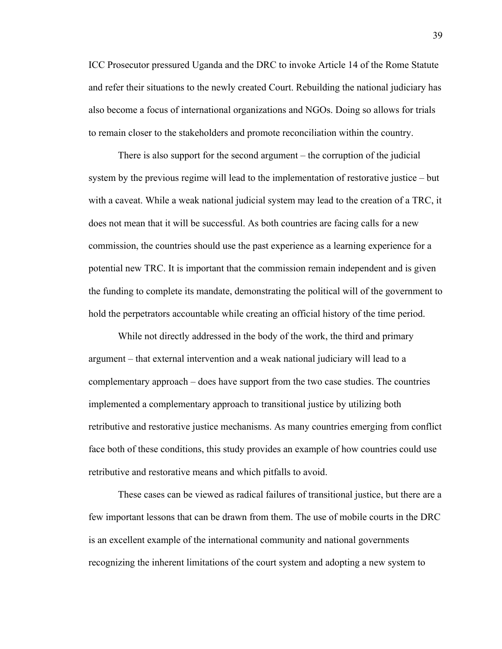ICC Prosecutor pressured Uganda and the DRC to invoke Article 14 of the Rome Statute and refer their situations to the newly created Court. Rebuilding the national judiciary has also become a focus of international organizations and NGOs. Doing so allows for trials to remain closer to the stakeholders and promote reconciliation within the country.

There is also support for the second argument – the corruption of the judicial system by the previous regime will lead to the implementation of restorative justice – but with a caveat. While a weak national judicial system may lead to the creation of a TRC, it does not mean that it will be successful. As both countries are facing calls for a new commission, the countries should use the past experience as a learning experience for a potential new TRC. It is important that the commission remain independent and is given the funding to complete its mandate, demonstrating the political will of the government to hold the perpetrators accountable while creating an official history of the time period.

While not directly addressed in the body of the work, the third and primary argument – that external intervention and a weak national judiciary will lead to a complementary approach – does have support from the two case studies. The countries implemented a complementary approach to transitional justice by utilizing both retributive and restorative justice mechanisms. As many countries emerging from conflict face both of these conditions, this study provides an example of how countries could use retributive and restorative means and which pitfalls to avoid.

These cases can be viewed as radical failures of transitional justice, but there are a few important lessons that can be drawn from them. The use of mobile courts in the DRC is an excellent example of the international community and national governments recognizing the inherent limitations of the court system and adopting a new system to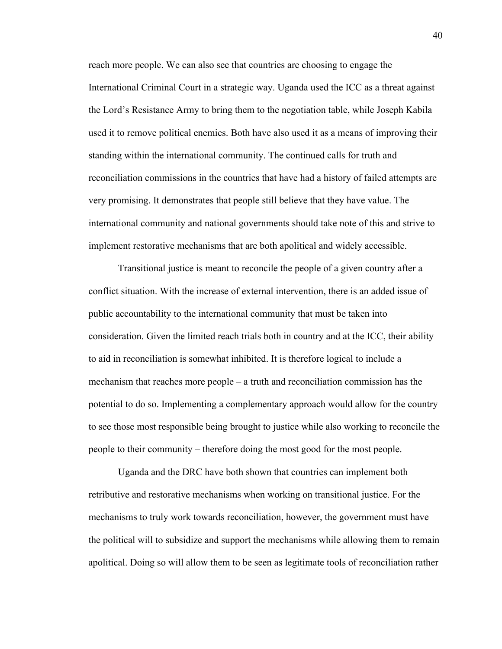reach more people. We can also see that countries are choosing to engage the International Criminal Court in a strategic way. Uganda used the ICC as a threat against the Lord's Resistance Army to bring them to the negotiation table, while Joseph Kabila used it to remove political enemies. Both have also used it as a means of improving their standing within the international community. The continued calls for truth and reconciliation commissions in the countries that have had a history of failed attempts are very promising. It demonstrates that people still believe that they have value. The international community and national governments should take note of this and strive to implement restorative mechanisms that are both apolitical and widely accessible.

Transitional justice is meant to reconcile the people of a given country after a conflict situation. With the increase of external intervention, there is an added issue of public accountability to the international community that must be taken into consideration. Given the limited reach trials both in country and at the ICC, their ability to aid in reconciliation is somewhat inhibited. It is therefore logical to include a mechanism that reaches more people – a truth and reconciliation commission has the potential to do so. Implementing a complementary approach would allow for the country to see those most responsible being brought to justice while also working to reconcile the people to their community – therefore doing the most good for the most people.

Uganda and the DRC have both shown that countries can implement both retributive and restorative mechanisms when working on transitional justice. For the mechanisms to truly work towards reconciliation, however, the government must have the political will to subsidize and support the mechanisms while allowing them to remain apolitical. Doing so will allow them to be seen as legitimate tools of reconciliation rather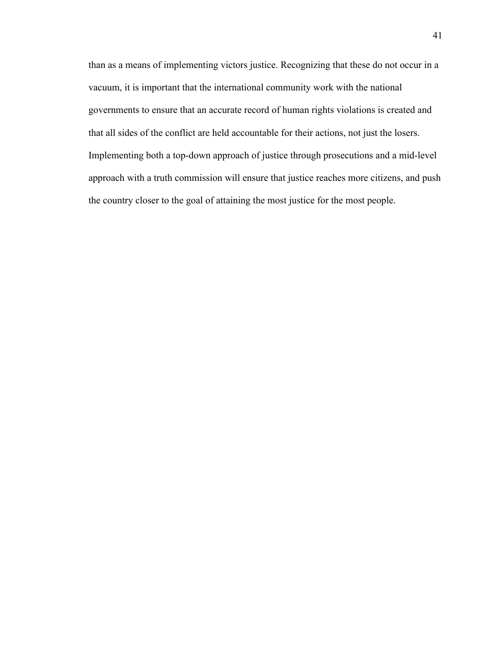than as a means of implementing victors justice. Recognizing that these do not occur in a vacuum, it is important that the international community work with the national governments to ensure that an accurate record of human rights violations is created and that all sides of the conflict are held accountable for their actions, not just the losers. Implementing both a top-down approach of justice through prosecutions and a mid-level approach with a truth commission will ensure that justice reaches more citizens, and push the country closer to the goal of attaining the most justice for the most people.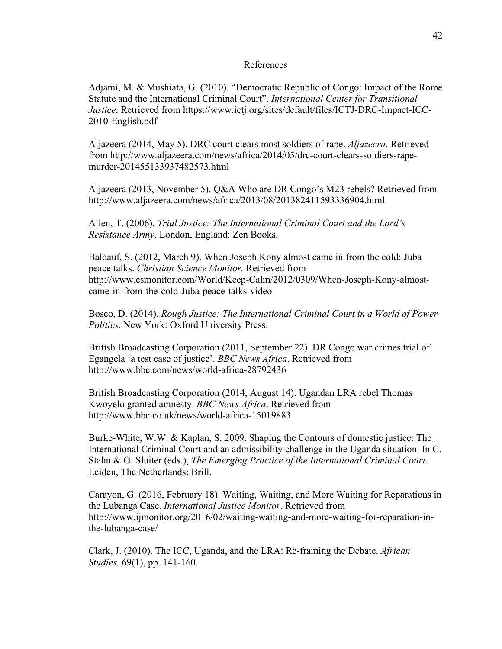#### References

Adjami, M. & Mushiata, G. (2010). "Democratic Republic of Congo: Impact of the Rome Statute and the International Criminal Court". *International Center for Transitional Justice*. Retrieved from https://www.ictj.org/sites/default/files/ICTJ-DRC-Impact-ICC-2010-English.pdf

Aljazeera (2014, May 5). DRC court clears most soldiers of rape. *Aljazeera*. Retrieved from http://www.aljazeera.com/news/africa/2014/05/drc-court-clears-soldiers-rapemurder-201455133937482573.html

Aljazeera (2013, November 5). Q&A Who are DR Congo's M23 rebels? Retrieved from http://www.aljazeera.com/news/africa/2013/08/201382411593336904.html

Allen, T. (2006). *Trial Justice: The International Criminal Court and the Lord's Resistance Army*. London, England: Zen Books.

Baldauf, S. (2012, March 9). When Joseph Kony almost came in from the cold: Juba peace talks. *Christian Science Monitor.* Retrieved from http://www.csmonitor.com/World/Keep-Calm/2012/0309/When-Joseph-Kony-almostcame-in-from-the-cold-Juba-peace-talks-video

Bosco, D. (2014). *Rough Justice: The International Criminal Court in a World of Power Politics*. New York: Oxford University Press.

British Broadcasting Corporation (2011, September 22). DR Congo war crimes trial of Egangela 'a test case of justice'. *BBC News Africa*. Retrieved from http://www.bbc.com/news/world-africa-28792436

British Broadcasting Corporation (2014, August 14). Ugandan LRA rebel Thomas Kwoyelo granted amnesty. *BBC News Africa*. Retrieved from http://www.bbc.co.uk/news/world-africa-15019883

Burke-White, W.W. & Kaplan, S. 2009. Shaping the Contours of domestic justice: The International Criminal Court and an admissibility challenge in the Uganda situation. In C. Stahn & G. Sluiter (eds.), *The Emerging Practice of the International Criminal Court*. Leiden, The Netherlands: Brill.

Carayon, G. (2016, February 18). Waiting, Waiting, and More Waiting for Reparations in the Lubanga Case. *International Justice Monitor*. Retrieved from http://www.ijmonitor.org/2016/02/waiting-waiting-and-more-waiting-for-reparation-inthe-lubanga-case/

Clark, J. (2010). The ICC, Uganda, and the LRA: Re-framing the Debate. *African Studies,* 69(1), pp. 141-160.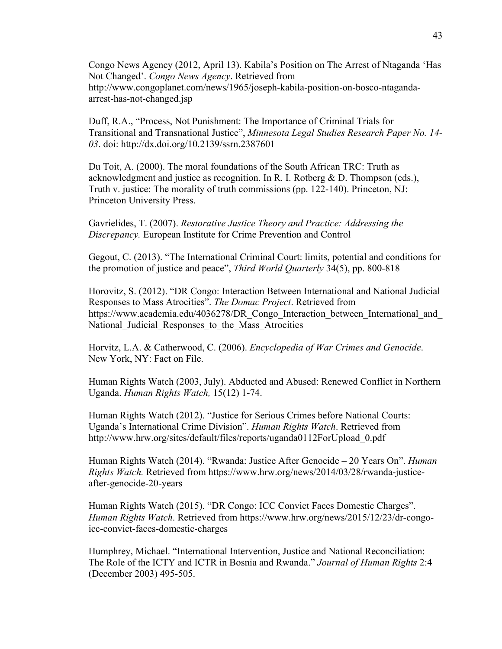Congo News Agency (2012, April 13). Kabila's Position on The Arrest of Ntaganda 'Has Not Changed'. *Congo News Agency*. Retrieved from http://www.congoplanet.com/news/1965/joseph-kabila-position-on-bosco-ntagandaarrest-has-not-changed.jsp

Duff, R.A., "Process, Not Punishment: The Importance of Criminal Trials for Transitional and Transnational Justice", *Minnesota Legal Studies Research Paper No. 14- 03*. doi: http://dx.doi.org/10.2139/ssrn.2387601

Du Toit, A. (2000). The moral foundations of the South African TRC: Truth as acknowledgment and justice as recognition. In R. I. Rotberg & D. Thompson (eds.), Truth v. justice: The morality of truth commissions (pp. 122-140). Princeton, NJ: Princeton University Press.

Gavrielides, T. (2007). *Restorative Justice Theory and Practice: Addressing the Discrepancy.* European Institute for Crime Prevention and Control

Gegout, C. (2013). "The International Criminal Court: limits, potential and conditions for the promotion of justice and peace", *Third World Quarterly* 34(5), pp. 800-818

Horovitz, S. (2012). "DR Congo: Interaction Between International and National Judicial Responses to Mass Atrocities". *The Domac Project*. Retrieved from https://www.academia.edu/4036278/DR\_Congo\_Interaction\_between\_International\_and National Judicial Responses to the Mass Atrocities

Horvitz, L.A. & Catherwood, C. (2006). *Encyclopedia of War Crimes and Genocide*. New York, NY: Fact on File.

Human Rights Watch (2003, July). Abducted and Abused: Renewed Conflict in Northern Uganda. *Human Rights Watch,* 15(12) 1-74.

Human Rights Watch (2012). "Justice for Serious Crimes before National Courts: Uganda's International Crime Division". *Human Rights Watch*. Retrieved from http://www.hrw.org/sites/default/files/reports/uganda0112ForUpload\_0.pdf

Human Rights Watch (2014). "Rwanda: Justice After Genocide – 20 Years On". *Human Rights Watch.* Retrieved from https://www.hrw.org/news/2014/03/28/rwanda-justiceafter-genocide-20-years

Human Rights Watch (2015). "DR Congo: ICC Convict Faces Domestic Charges". *Human Rights Watch*. Retrieved from https://www.hrw.org/news/2015/12/23/dr-congoicc-convict-faces-domestic-charges

Humphrey, Michael. "International Intervention, Justice and National Reconciliation: The Role of the ICTY and ICTR in Bosnia and Rwanda." *Journal of Human Rights* 2:4 (December 2003) 495-505.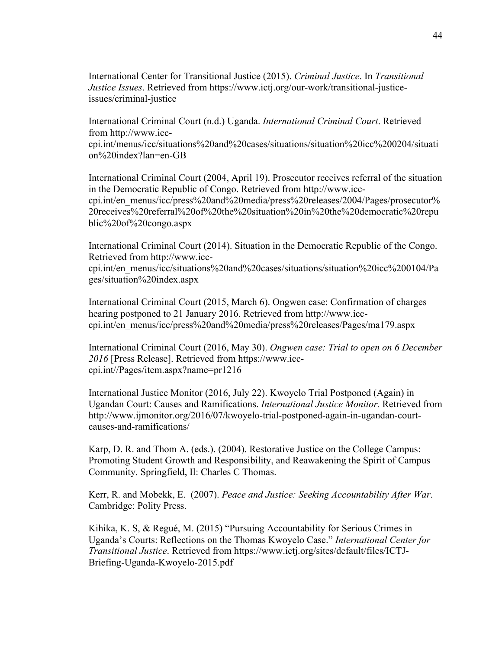International Center for Transitional Justice (2015). *Criminal Justice*. In *Transitional Justice Issues*. Retrieved from https://www.ictj.org/our-work/transitional-justiceissues/criminal-justice

International Criminal Court (n.d.) Uganda. *International Criminal Court*. Retrieved from http://www.icc-

cpi.int/menus/icc/situations%20and%20cases/situations/situation%20icc%200204/situati on%20index?lan=en-GB

International Criminal Court (2004, April 19). Prosecutor receives referral of the situation in the Democratic Republic of Congo. Retrieved from http://www.icccpi.int/en\_menus/icc/press%20and%20media/press%20releases/2004/Pages/prosecutor% 20receives%20referral%20of%20the%20situation%20in%20the%20democratic%20repu blic%20of%20congo.aspx

International Criminal Court (2014). Situation in the Democratic Republic of the Congo. Retrieved from http://www.icc-

cpi.int/en\_menus/icc/situations%20and%20cases/situations/situation%20icc%200104/Pa ges/situation%20index.aspx

International Criminal Court (2015, March 6). Ongwen case: Confirmation of charges hearing postponed to 21 January 2016. Retrieved from http://www.icccpi.int/en\_menus/icc/press%20and%20media/press%20releases/Pages/ma179.aspx

International Criminal Court (2016, May 30). *Ongwen case: Trial to open on 6 December 2016* [Press Release]. Retrieved from https://www.icccpi.int//Pages/item.aspx?name=pr1216

International Justice Monitor (2016, July 22). Kwoyelo Trial Postponed (Again) in Ugandan Court: Causes and Ramifications. *International Justice Monitor.* Retrieved from http://www.ijmonitor.org/2016/07/kwoyelo-trial-postponed-again-in-ugandan-courtcauses-and-ramifications/

Karp, D. R. and Thom A. (eds.). (2004). Restorative Justice on the College Campus: Promoting Student Growth and Responsibility, and Reawakening the Spirit of Campus Community. Springfield, Il: Charles C Thomas.

Kerr, R. and Mobekk, E. (2007). *Peace and Justice: Seeking Accountability After War*. Cambridge: Polity Press.

Kihika, K. S, & Regué, M. (2015) "Pursuing Accountability for Serious Crimes in Uganda's Courts: Reflections on the Thomas Kwoyelo Case." *International Center for Transitional Justice*. Retrieved from https://www.ictj.org/sites/default/files/ICTJ-Briefing-Uganda-Kwoyelo-2015.pdf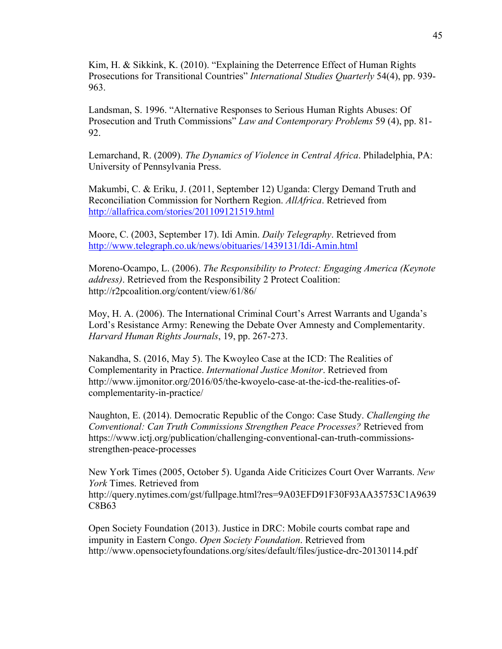Kim, H. & Sikkink, K. (2010). "Explaining the Deterrence Effect of Human Rights Prosecutions for Transitional Countries" *International Studies Quarterly* 54(4), pp. 939- 963.

Landsman, S. 1996. "Alternative Responses to Serious Human Rights Abuses: Of Prosecution and Truth Commissions" *Law and Contemporary Problems* 59 (4), pp. 81- 92.

Lemarchand, R. (2009). *The Dynamics of Violence in Central Africa*. Philadelphia, PA: University of Pennsylvania Press.

Makumbi, C. & Eriku, J. (2011, September 12) Uganda: Clergy Demand Truth and Reconciliation Commission for Northern Region. *AllAfrica*. Retrieved from http://allafrica.com/stories/201109121519.html

Moore, C. (2003, September 17). Idi Amin. *Daily Telegraphy*. Retrieved from http://www.telegraph.co.uk/news/obituaries/1439131/Idi-Amin.html

Moreno-Ocampo, L. (2006). *The Responsibility to Protect: Engaging America (Keynote address)*. Retrieved from the Responsibility 2 Protect Coalition: http://r2pcoalition.org/content/view/61/86/

Moy, H. A. (2006). The International Criminal Court's Arrest Warrants and Uganda's Lord's Resistance Army: Renewing the Debate Over Amnesty and Complementarity. *Harvard Human Rights Journals*, 19, pp. 267-273.

Nakandha, S. (2016, May 5). The Kwoyleo Case at the ICD: The Realities of Complementarity in Practice. *International Justice Monitor*. Retrieved from http://www.ijmonitor.org/2016/05/the-kwoyelo-case-at-the-icd-the-realities-ofcomplementarity-in-practice/

Naughton, E. (2014). Democratic Republic of the Congo: Case Study. *Challenging the Conventional: Can Truth Commissions Strengthen Peace Processes?* Retrieved from https://www.ictj.org/publication/challenging-conventional-can-truth-commissionsstrengthen-peace-processes

New York Times (2005, October 5). Uganda Aide Criticizes Court Over Warrants. *New York* Times. Retrieved from http://query.nytimes.com/gst/fullpage.html?res=9A03EFD91F30F93AA35753C1A9639 C8B63

Open Society Foundation (2013). Justice in DRC: Mobile courts combat rape and impunity in Eastern Congo. *Open Society Foundation*. Retrieved from http://www.opensocietyfoundations.org/sites/default/files/justice-drc-20130114.pdf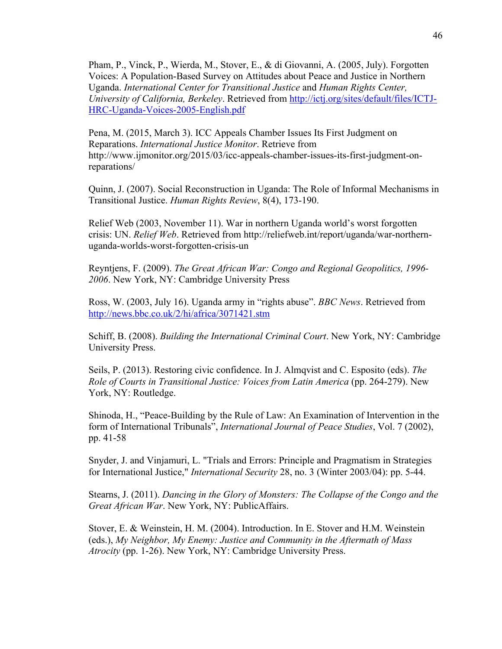Pham, P., Vinck, P., Wierda, M., Stover, E., & di Giovanni, A. (2005, July). Forgotten Voices: A Population-Based Survey on Attitudes about Peace and Justice in Northern Uganda. *International Center for Transitional Justice* and *Human Rights Center, University of California, Berkeley*. Retrieved from http://ictj.org/sites/default/files/ICTJ-HRC-Uganda-Voices-2005-English.pdf

Pena, M. (2015, March 3). ICC Appeals Chamber Issues Its First Judgment on Reparations. *International Justice Monitor*. Retrieve from http://www.ijmonitor.org/2015/03/icc-appeals-chamber-issues-its-first-judgment-onreparations/

Quinn, J. (2007). Social Reconstruction in Uganda: The Role of Informal Mechanisms in Transitional Justice. *Human Rights Review*, 8(4), 173-190.

Relief Web (2003, November 11). War in northern Uganda world's worst forgotten crisis: UN. *Relief Web*. Retrieved from http://reliefweb.int/report/uganda/war-northernuganda-worlds-worst-forgotten-crisis-un

Reyntjens, F. (2009). *The Great African War: Congo and Regional Geopolitics, 1996- 2006*. New York, NY: Cambridge University Press

Ross, W. (2003, July 16). Uganda army in "rights abuse". *BBC News*. Retrieved from http://news.bbc.co.uk/2/hi/africa/3071421.stm

Schiff, B. (2008). *Building the International Criminal Court*. New York, NY: Cambridge University Press.

Seils, P. (2013). Restoring civic confidence. In J. Almqvist and C. Esposito (eds). *The Role of Courts in Transitional Justice: Voices from Latin America* (pp. 264-279). New York, NY: Routledge.

Shinoda, H., "Peace-Building by the Rule of Law: An Examination of Intervention in the form of International Tribunals", *International Journal of Peace Studies*, Vol. 7 (2002), pp. 41-58

Snyder, J. and Vinjamuri, L. "Trials and Errors: Principle and Pragmatism in Strategies for International Justice," *International Security* 28, no. 3 (Winter 2003/04): pp. 5-44.

Stearns, J. (2011). *Dancing in the Glory of Monsters: The Collapse of the Congo and the Great African War*. New York, NY: PublicAffairs.

Stover, E. & Weinstein, H. M. (2004). Introduction. In E. Stover and H.M. Weinstein (eds.), *My Neighbor, My Enemy: Justice and Community in the Aftermath of Mass Atrocity* (pp. 1-26). New York, NY: Cambridge University Press.